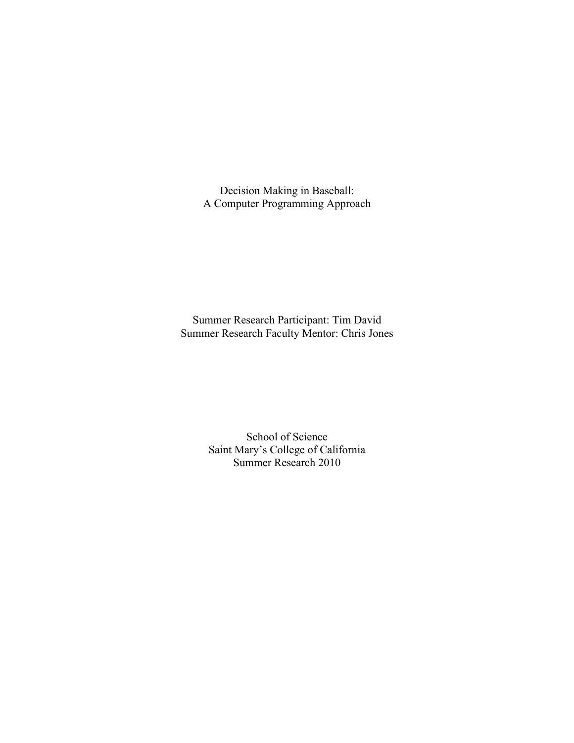Decision Making in Baseball: A Computer Programming Approach

Summer Research Participant: Tim David Summer Research Faculty Mentor: Chris Jones

> School of Science Saint Mary's College of California Summer Research 2010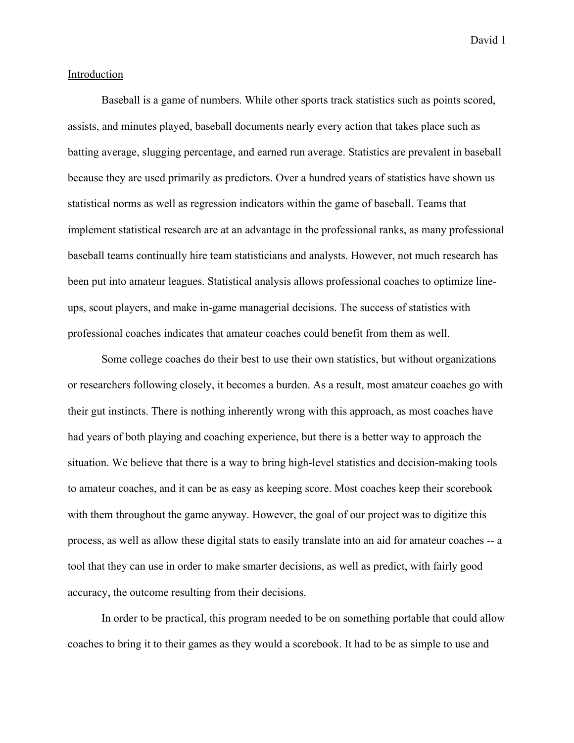#### Introduction

Baseball is a game of numbers. While other sports track statistics such as points scored, assists, and minutes played, baseball documents nearly every action that takes place such as batting average, slugging percentage, and earned run average. Statistics are prevalent in baseball because they are used primarily as predictors. Over a hundred years of statistics have shown us statistical norms as well as regression indicators within the game of baseball. Teams that implement statistical research are at an advantage in the professional ranks, as many professional baseball teams continually hire team statisticians and analysts. However, not much research has been put into amateur leagues. Statistical analysis allows professional coaches to optimize lineups, scout players, and make in-game managerial decisions. The success of statistics with professional coaches indicates that amateur coaches could benefit from them as well.

Some college coaches do their best to use their own statistics, but without organizations or researchers following closely, it becomes a burden. As a result, most amateur coaches go with their gut instincts. There is nothing inherently wrong with this approach, as most coaches have had years of both playing and coaching experience, but there is a better way to approach the situation. We believe that there is a way to bring high-level statistics and decision-making tools to amateur coaches, and it can be as easy as keeping score. Most coaches keep their scorebook with them throughout the game anyway. However, the goal of our project was to digitize this process, as well as allow these digital stats to easily translate into an aid for amateur coaches -- a tool that they can use in order to make smarter decisions, as well as predict, with fairly good accuracy, the outcome resulting from their decisions.

In order to be practical, this program needed to be on something portable that could allow coaches to bring it to their games as they would a scorebook. It had to be as simple to use and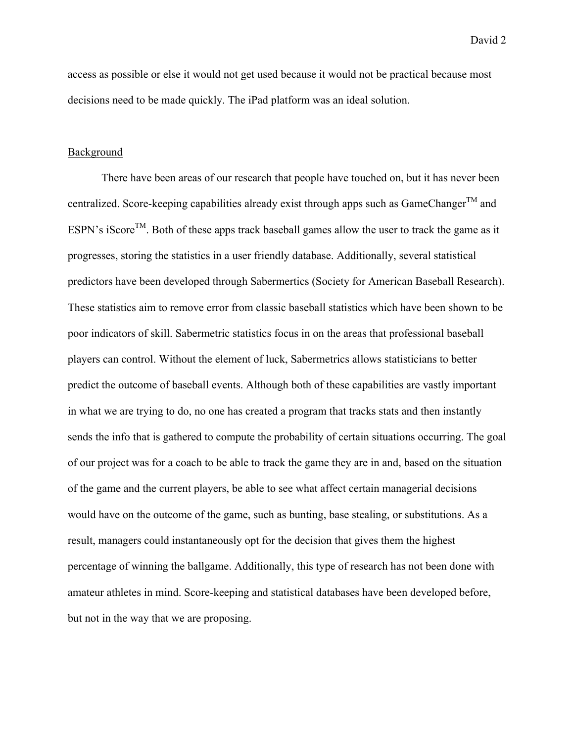access as possible or else it would not get used because it would not be practical because most decisions need to be made quickly. The iPad platform was an ideal solution.

#### Background

There have been areas of our research that people have touched on, but it has never been centralized. Score-keeping capabilities already exist through apps such as  $GameChange^{TM}$  and ESPN's iScore<sup>TM</sup>. Both of these apps track baseball games allow the user to track the game as it progresses, storing the statistics in a user friendly database. Additionally, several statistical predictors have been developed through Sabermertics (Society for American Baseball Research). These statistics aim to remove error from classic baseball statistics which have been shown to be poor indicators of skill. Sabermetric statistics focus in on the areas that professional baseball players can control. Without the element of luck, Sabermetrics allows statisticians to better predict the outcome of baseball events. Although both of these capabilities are vastly important in what we are trying to do, no one has created a program that tracks stats and then instantly sends the info that is gathered to compute the probability of certain situations occurring. The goal of our project was for a coach to be able to track the game they are in and, based on the situation of the game and the current players, be able to see what affect certain managerial decisions would have on the outcome of the game, such as bunting, base stealing, or substitutions. As a result, managers could instantaneously opt for the decision that gives them the highest percentage of winning the ballgame. Additionally, this type of research has not been done with amateur athletes in mind. Score-keeping and statistical databases have been developed before, but not in the way that we are proposing.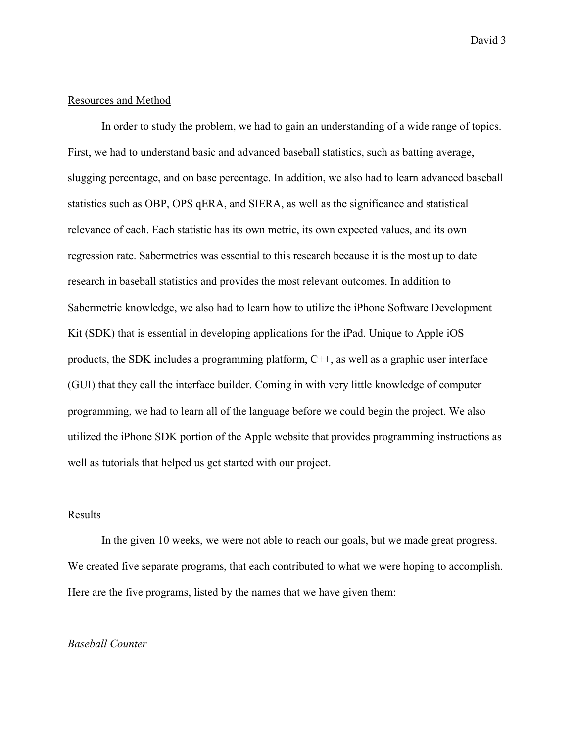#### Resources and Method

In order to study the problem, we had to gain an understanding of a wide range of topics. First, we had to understand basic and advanced baseball statistics, such as batting average, slugging percentage, and on base percentage. In addition, we also had to learn advanced baseball statistics such as OBP, OPS qERA, and SIERA, as well as the significance and statistical relevance of each. Each statistic has its own metric, its own expected values, and its own regression rate. Sabermetrics was essential to this research because it is the most up to date research in baseball statistics and provides the most relevant outcomes. In addition to Sabermetric knowledge, we also had to learn how to utilize the iPhone Software Development Kit (SDK) that is essential in developing applications for the iPad. Unique to Apple iOS products, the SDK includes a programming platform, C++, as well as a graphic user interface (GUI) that they call the interface builder. Coming in with very little knowledge of computer programming, we had to learn all of the language before we could begin the project. We also utilized the iPhone SDK portion of the Apple website that provides programming instructions as well as tutorials that helped us get started with our project.

#### **Results**

In the given 10 weeks, we were not able to reach our goals, but we made great progress. We created five separate programs, that each contributed to what we were hoping to accomplish. Here are the five programs, listed by the names that we have given them:

#### *Baseball Counter*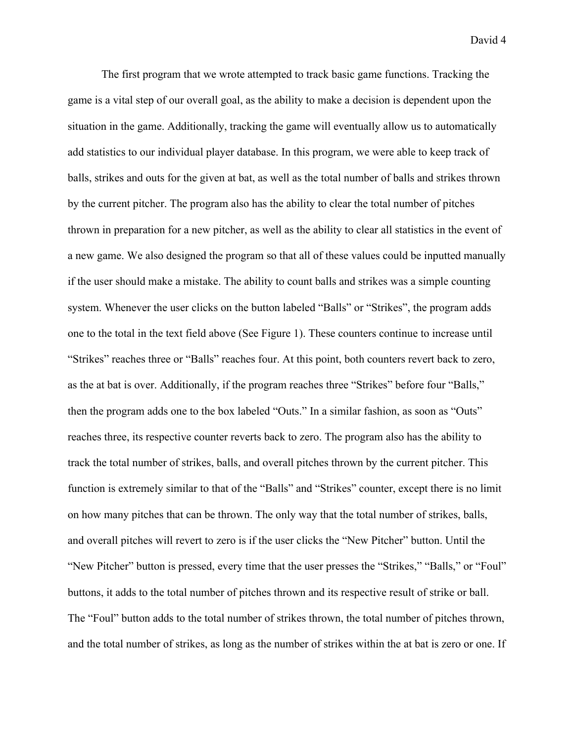The first program that we wrote attempted to track basic game functions. Tracking the game is a vital step of our overall goal, as the ability to make a decision is dependent upon the situation in the game. Additionally, tracking the game will eventually allow us to automatically add statistics to our individual player database. In this program, we were able to keep track of balls, strikes and outs for the given at bat, as well as the total number of balls and strikes thrown by the current pitcher. The program also has the ability to clear the total number of pitches thrown in preparation for a new pitcher, as well as the ability to clear all statistics in the event of a new game. We also designed the program so that all of these values could be inputted manually if the user should make a mistake. The ability to count balls and strikes was a simple counting system. Whenever the user clicks on the button labeled "Balls" or "Strikes", the program adds one to the total in the text field above (See Figure 1). These counters continue to increase until "Strikes" reaches three or "Balls" reaches four. At this point, both counters revert back to zero, as the at bat is over. Additionally, if the program reaches three "Strikes" before four "Balls," then the program adds one to the box labeled "Outs." In a similar fashion, as soon as "Outs" reaches three, its respective counter reverts back to zero. The program also has the ability to track the total number of strikes, balls, and overall pitches thrown by the current pitcher. This function is extremely similar to that of the "Balls" and "Strikes" counter, except there is no limit on how many pitches that can be thrown. The only way that the total number of strikes, balls, and overall pitches will revert to zero is if the user clicks the "New Pitcher" button. Until the "New Pitcher" button is pressed, every time that the user presses the "Strikes," "Balls," or "Foul" buttons, it adds to the total number of pitches thrown and its respective result of strike or ball. The "Foul" button adds to the total number of strikes thrown, the total number of pitches thrown, and the total number of strikes, as long as the number of strikes within the at bat is zero or one. If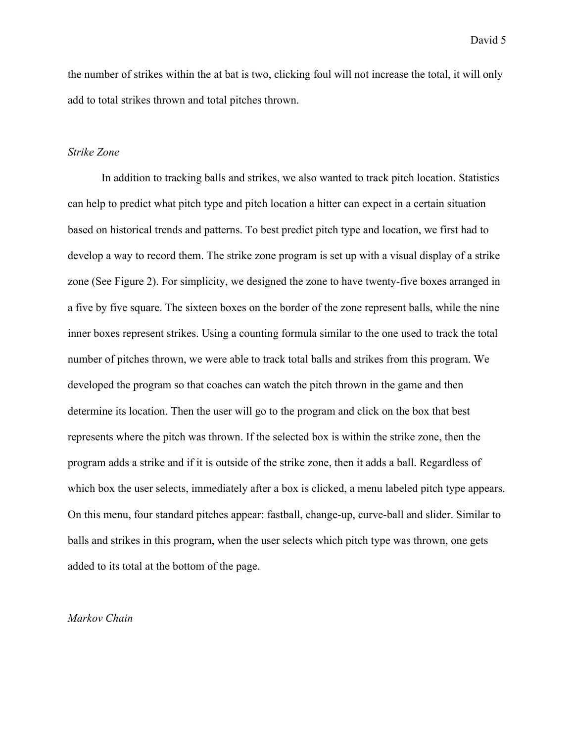the number of strikes within the at bat is two, clicking foul will not increase the total, it will only add to total strikes thrown and total pitches thrown.

#### *Strike Zone*

In addition to tracking balls and strikes, we also wanted to track pitch location. Statistics can help to predict what pitch type and pitch location a hitter can expect in a certain situation based on historical trends and patterns. To best predict pitch type and location, we first had to develop a way to record them. The strike zone program is set up with a visual display of a strike zone (See Figure 2). For simplicity, we designed the zone to have twenty-five boxes arranged in a five by five square. The sixteen boxes on the border of the zone represent balls, while the nine inner boxes represent strikes. Using a counting formula similar to the one used to track the total number of pitches thrown, we were able to track total balls and strikes from this program. We developed the program so that coaches can watch the pitch thrown in the game and then determine its location. Then the user will go to the program and click on the box that best represents where the pitch was thrown. If the selected box is within the strike zone, then the program adds a strike and if it is outside of the strike zone, then it adds a ball. Regardless of which box the user selects, immediately after a box is clicked, a menu labeled pitch type appears. On this menu, four standard pitches appear: fastball, change-up, curve-ball and slider. Similar to balls and strikes in this program, when the user selects which pitch type was thrown, one gets added to its total at the bottom of the page.

#### *Markov Chain*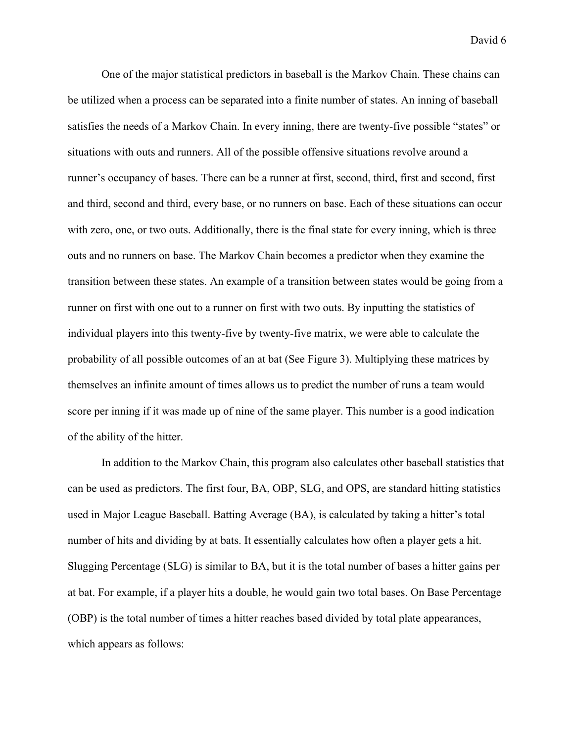One of the major statistical predictors in baseball is the Markov Chain. These chains can be utilized when a process can be separated into a finite number of states. An inning of baseball satisfies the needs of a Markov Chain. In every inning, there are twenty-five possible "states" or situations with outs and runners. All of the possible offensive situations revolve around a runner's occupancy of bases. There can be a runner at first, second, third, first and second, first and third, second and third, every base, or no runners on base. Each of these situations can occur with zero, one, or two outs. Additionally, there is the final state for every inning, which is three outs and no runners on base. The Markov Chain becomes a predictor when they examine the transition between these states. An example of a transition between states would be going from a runner on first with one out to a runner on first with two outs. By inputting the statistics of individual players into this twenty-five by twenty-five matrix, we were able to calculate the probability of all possible outcomes of an at bat (See Figure 3). Multiplying these matrices by themselves an infinite amount of times allows us to predict the number of runs a team would score per inning if it was made up of nine of the same player. This number is a good indication of the ability of the hitter.

In addition to the Markov Chain, this program also calculates other baseball statistics that can be used as predictors. The first four, BA, OBP, SLG, and OPS, are standard hitting statistics used in Major League Baseball. Batting Average (BA), is calculated by taking a hitter's total number of hits and dividing by at bats. It essentially calculates how often a player gets a hit. Slugging Percentage (SLG) is similar to BA, but it is the total number of bases a hitter gains per at bat. For example, if a player hits a double, he would gain two total bases. On Base Percentage (OBP) is the total number of times a hitter reaches based divided by total plate appearances, which appears as follows: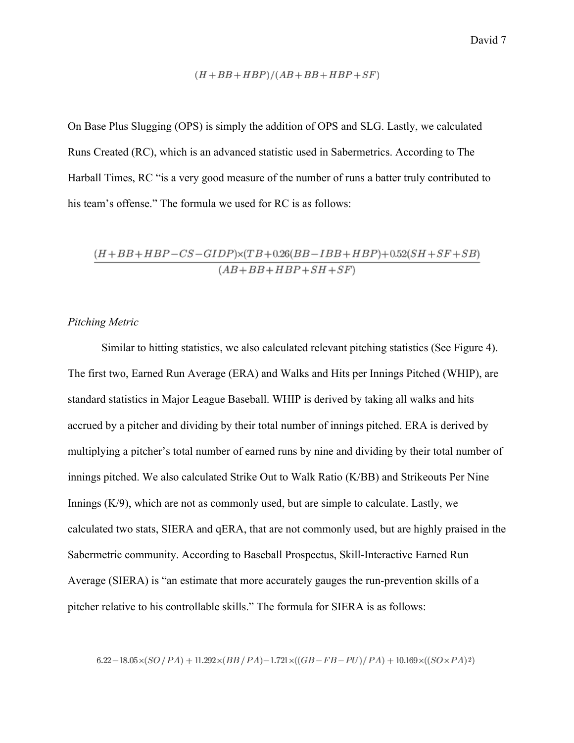$$
(H+BB+HBP)/(AB+BB+HBP+SF)\\
$$

On Base Plus Slugging (OPS) is simply the addition of OPS and SLG. Lastly, we calculated Runs Created (RC), which is an advanced statistic used in Sabermetrics. According to The Harball Times, RC "is a very good measure of the number of runs a batter truly contributed to his team's offense." The formula we used for RC is as follows:

$$
\frac{(H+BB+HBP-CS-GIDP)\times (TB+0.26(BB-IBB+HBP)+0.52(SH+SF+SB)}{(AB+BB+HBP+SH+SF)}
$$

# *Pitching Metric*

Similar to hitting statistics, we also calculated relevant pitching statistics (See Figure 4). The first two, Earned Run Average (ERA) and Walks and Hits per Innings Pitched (WHIP), are standard statistics in Major League Baseball. WHIP is derived by taking all walks and hits accrued by a pitcher and dividing by their total number of innings pitched. ERA is derived by multiplying a pitcher's total number of earned runs by nine and dividing by their total number of innings pitched. We also calculated Strike Out to Walk Ratio (K/BB) and Strikeouts Per Nine Innings  $(K/9)$ , which are not as commonly used, but are simple to calculate. Lastly, we calculated two stats, SIERA and qERA, that are not commonly used, but are highly praised in the Sabermetric community. According to Baseball Prospectus, Skill-Interactive Earned Run Average (SIERA) is "an estimate that more accurately gauges the run-prevention skills of a pitcher relative to his controllable skills." The formula for SIERA is as follows:

$$
6.22-18.05\times(SO\,/\,PA)+11.292\times(BB\,/\,PA)-1.721\times((GB-FB-PU)\,/\,PA)+10.169\times((SO\times PA)^2)
$$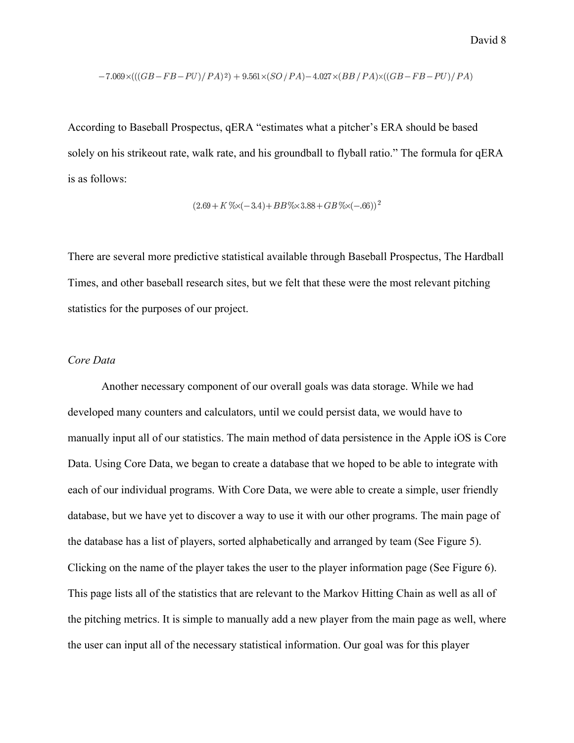$$
-7.069 \times (((GB - FB - PU)/PA)^2) + 9.561 \times (SO/PA) - 4.027 \times (BB/PA) \times ((GB - FB - PU)/PA)
$$

According to Baseball Prospectus, qERA "estimates what a pitcher's ERA should be based solely on his strikeout rate, walk rate, and his groundball to flyball ratio." The formula for qERA is as follows:

$$
(2.69 + K\% \times (-3.4) + BB\% \times 3.88 + GB\% \times (-.66))^2
$$

There are several more predictive statistical available through Baseball Prospectus, The Hardball Times, and other baseball research sites, but we felt that these were the most relevant pitching statistics for the purposes of our project.

#### *Core Data*

Another necessary component of our overall goals was data storage. While we had developed many counters and calculators, until we could persist data, we would have to manually input all of our statistics. The main method of data persistence in the Apple iOS is Core Data. Using Core Data, we began to create a database that we hoped to be able to integrate with each of our individual programs. With Core Data, we were able to create a simple, user friendly database, but we have yet to discover a way to use it with our other programs. The main page of the database has a list of players, sorted alphabetically and arranged by team (See Figure 5). Clicking on the name of the player takes the user to the player information page (See Figure 6). This page lists all of the statistics that are relevant to the Markov Hitting Chain as well as all of the pitching metrics. It is simple to manually add a new player from the main page as well, where the user can input all of the necessary statistical information. Our goal was for this player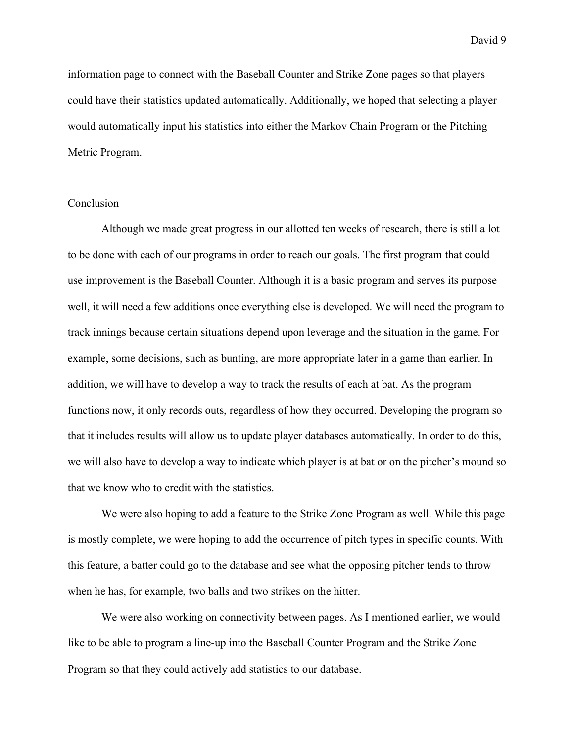information page to connect with the Baseball Counter and Strike Zone pages so that players could have their statistics updated automatically. Additionally, we hoped that selecting a player would automatically input his statistics into either the Markov Chain Program or the Pitching Metric Program.

## Conclusion

Although we made great progress in our allotted ten weeks of research, there is still a lot to be done with each of our programs in order to reach our goals. The first program that could use improvement is the Baseball Counter. Although it is a basic program and serves its purpose well, it will need a few additions once everything else is developed. We will need the program to track innings because certain situations depend upon leverage and the situation in the game. For example, some decisions, such as bunting, are more appropriate later in a game than earlier. In addition, we will have to develop a way to track the results of each at bat. As the program functions now, it only records outs, regardless of how they occurred. Developing the program so that it includes results will allow us to update player databases automatically. In order to do this, we will also have to develop a way to indicate which player is at bat or on the pitcher's mound so that we know who to credit with the statistics.

We were also hoping to add a feature to the Strike Zone Program as well. While this page is mostly complete, we were hoping to add the occurrence of pitch types in specific counts. With this feature, a batter could go to the database and see what the opposing pitcher tends to throw when he has, for example, two balls and two strikes on the hitter.

We were also working on connectivity between pages. As I mentioned earlier, we would like to be able to program a line-up into the Baseball Counter Program and the Strike Zone Program so that they could actively add statistics to our database.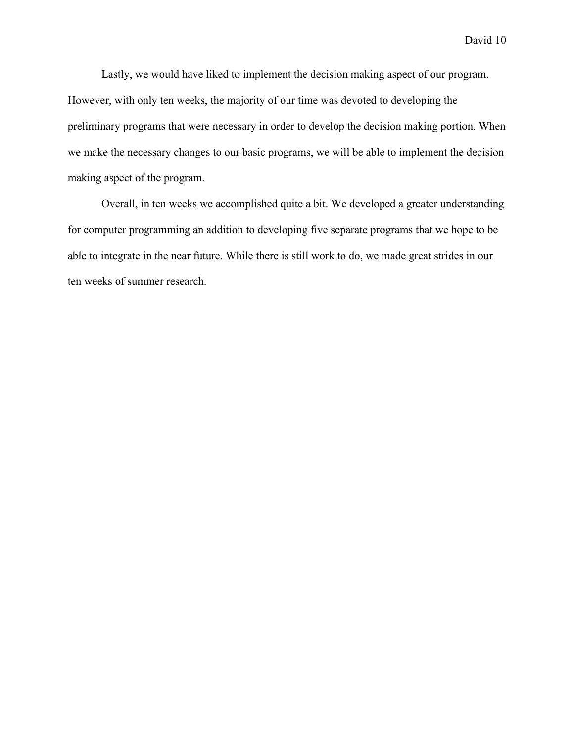Lastly, we would have liked to implement the decision making aspect of our program. However, with only ten weeks, the majority of our time was devoted to developing the preliminary programs that were necessary in order to develop the decision making portion. When we make the necessary changes to our basic programs, we will be able to implement the decision making aspect of the program.

Overall, in ten weeks we accomplished quite a bit. We developed a greater understanding for computer programming an addition to developing five separate programs that we hope to be able to integrate in the near future. While there is still work to do, we made great strides in our ten weeks of summer research.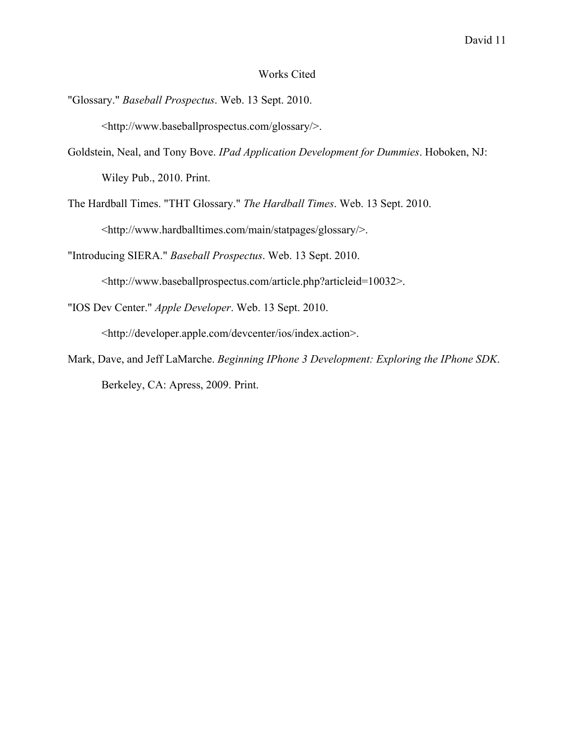## Works Cited

- "Glossary." *Baseball Prospectus*. Web. 13 Sept. 2010. <http://www.baseballprospectus.com/glossary/>.
- Goldstein, Neal, and Tony Bove. *IPad Application Development for Dummies*. Hoboken, NJ: Wiley Pub., 2010. Print.
- The Hardball Times. "THT Glossary." *The Hardball Times*. Web. 13 Sept. 2010. <http://www.hardballtimes.com/main/statpages/glossary/>.

"Introducing SIERA." *Baseball Prospectus*. Web. 13 Sept. 2010.

<http://www.baseballprospectus.com/article.php?articleid=10032>.

"IOS Dev Center." *Apple Developer*. Web. 13 Sept. 2010.

<http://developer.apple.com/devcenter/ios/index.action>.

Mark, Dave, and Jeff LaMarche. *Beginning IPhone 3 Development: Exploring the IPhone SDK*. Berkeley, CA: Apress, 2009. Print.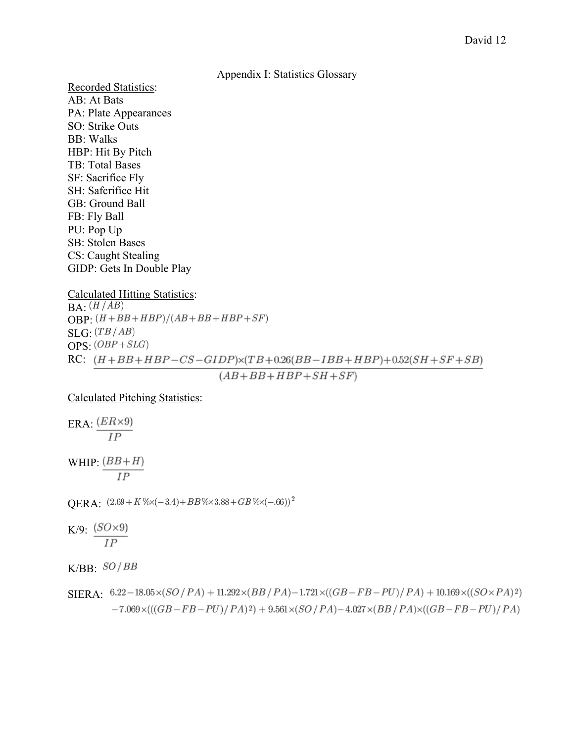#### Appendix I: Statistics Glossary

Recorded Statistics: AB: At Bats PA: Plate Appearances SO: Strike Outs BB: Walks HBP: Hit By Pitch TB: Total Bases SF: Sacrifice Fly SH: Safcrifice Hit GB: Ground Ball FB: Fly Ball PU: Pop Up SB: Stolen Bases CS: Caught Stealing GIDP: Gets In Double Play

Calculated Hitting Statistics:

 $BA: (H/AB)$ OBP:  $(H+BB+HBP)/(AB+BB+HBP+SF)$  $\overline{\text{SLG}} \cdot (TB/AB)$  $OPS: (OBP + SLG)$ RC:  $(H+BB+HBP-CS-GIDP)\times (TB+0.26(BB-IBB+HBP)+0.52(SH+SF+SB)$ 

 $(AB+BB+HBP+SH+SF)$ 

Calculated Pitching Statistics:

ERA  $\frac{(ER\times 9)}{IP}$ 

WHIP:  $\frac{(BB+H)}{IP}$ 

OERA:  $(2.69 + K\% \times (-3.4) + BB\% \times 3.88 + GB\% \times (-.66))^2$ 

K/9:  $\frac{(SO\times 9)}{IP}$ 

 $K/BB: SO/BB$ 

 $SIERA: 6.22-18.05\times(SO/PA) + 11.292\times(BB/PA) - 1.721\times((GB-FB-PU)/PA) + 10.169\times((SO \times PA)^2)$  $-7.069 \times (((GB - FB - PU)/PA)^{2}) + 9.561 \times (SO/PA) - 4.027 \times (BB/PA) \times ((GB - FB - PU)/PA)$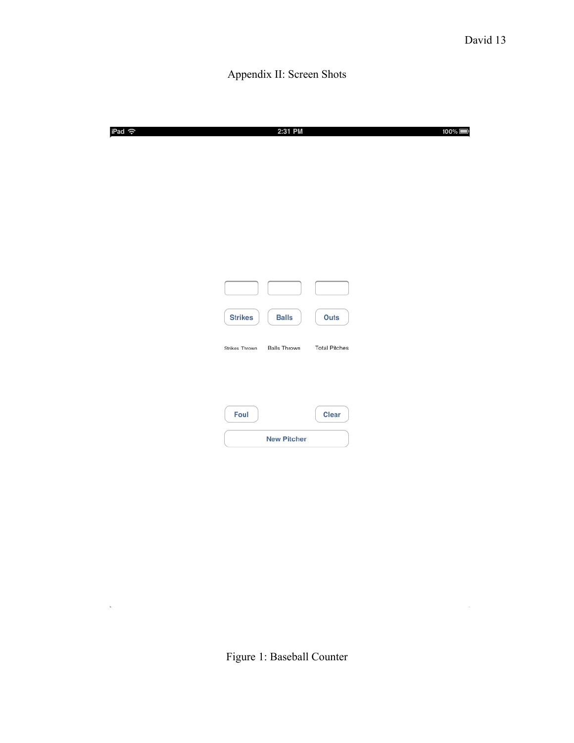$\mathcal{H}^{\text{max}}_{\text{max}}$ 

# Appendix II: Screen Shots

| iPad <i>କ</i> |                | 2:31 PM             | 100%                 |  |
|---------------|----------------|---------------------|----------------------|--|
|               |                |                     |                      |  |
|               |                |                     |                      |  |
|               |                |                     |                      |  |
|               |                |                     |                      |  |
|               |                |                     |                      |  |
|               | <b>Strikes</b> | <b>Balls</b>        | Outs                 |  |
|               | Strikes Thrown | <b>Balls Thrown</b> | <b>Total Pitches</b> |  |
|               |                |                     |                      |  |
|               | Foul           |                     | Clear                |  |
|               |                | <b>New Pitcher</b>  |                      |  |

 $\mathcal{L}^{\text{c}}$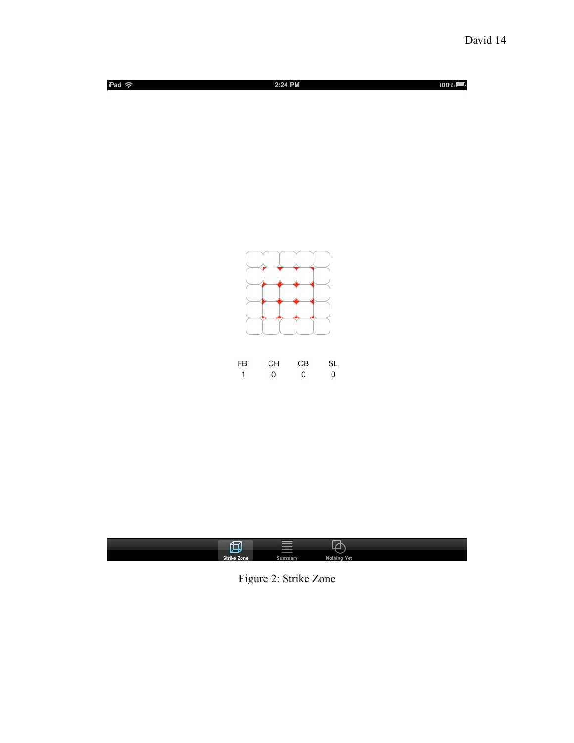





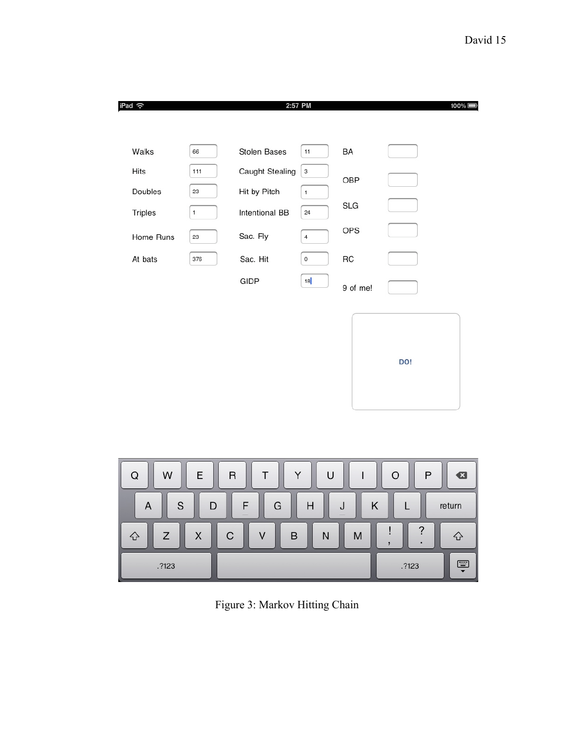| iPad 令                                                         |                   |                        | 2:57 PM                   |            |                         | $100\%$ |
|----------------------------------------------------------------|-------------------|------------------------|---------------------------|------------|-------------------------|---------|
|                                                                |                   |                        |                           |            |                         |         |
| Walks                                                          | 66                | Stolen Bases           | 11                        | BA         |                         |         |
| Hits                                                           | 111               | <b>Caught Stealing</b> | $\ensuremath{\mathsf{3}}$ | OBP        |                         |         |
| Doubles                                                        | 23                | Hit by Pitch           | $\mathbf{1}$              |            |                         |         |
| Triples                                                        | $\mathbf{1}$      | Intentional BB         | 24                        | <b>SLG</b> |                         |         |
| Home Runs                                                      | 23                | Sac. Fly               | $\overline{4}$            | OPS        |                         |         |
| At bats                                                        | 376               | Sac. Hit               | $\circ$                   | RC         |                         |         |
|                                                                |                   | GIDP                   | 18                        | 9 of me!   |                         |         |
|                                                                |                   |                        |                           |            |                         |         |
|                                                                |                   |                        |                           |            |                         |         |
|                                                                |                   |                        |                           |            | DO!                     |         |
|                                                                |                   |                        |                           |            |                         |         |
|                                                                |                   |                        |                           |            |                         |         |
|                                                                |                   |                        |                           |            |                         |         |
|                                                                |                   |                        |                           |            |                         |         |
| W<br>Υ<br>Q<br>Ε<br>T<br>U<br>O<br>$\mathsf{R}$<br>P<br>€<br>I |                   |                        |                           |            |                         |         |
| $\mathbf S$<br>F<br>G<br>Κ<br>D<br>Η<br>J<br>L<br>A<br>return  |                   |                        |                           |            |                         |         |
| Z<br>♤                                                         | $\mathsf{C}$<br>X | V<br>B                 | N                         | M          | $\overline{\cdot}$<br>ļ | ♤       |

 $\cdot$ 

 $.7123$ 

Ş

,

 $.7123$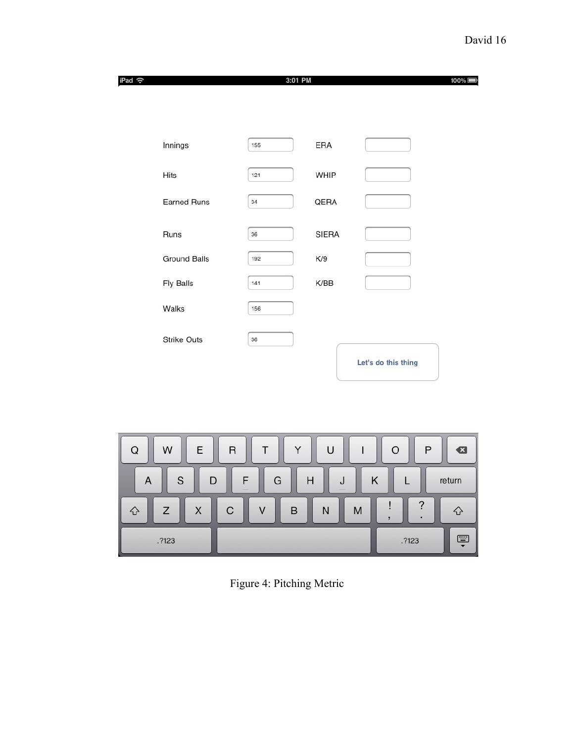| iPad 令 |                     | 3:01 PM |              |                     | $100\%$ |
|--------|---------------------|---------|--------------|---------------------|---------|
|        |                     |         |              |                     |         |
|        |                     |         |              |                     |         |
|        | Innings             | 155     | ERA          |                     |         |
|        | Hits                | 121     | WHIP         |                     |         |
|        | <b>Earned Runs</b>  | 34      | QERA         |                     |         |
|        | Runs                | 36      | <b>SIERA</b> |                     |         |
|        | <b>Ground Balls</b> | 192     | K/9          |                     |         |
|        | Fly Balls           | 141     | K/BB         |                     |         |
|        | Walks               | 156     |              |                     |         |
|        | <b>Strike Outs</b>  | 36      |              |                     |         |
|        |                     |         |              | Let's do this thing |         |
|        |                     |         |              |                     |         |
|        |                     |         |              |                     |         |

| E<br>W<br>Q | $\mathsf{R}$<br>ιı | ∩ | P<br>$\left\langle \mathbf{x}\right\rangle$ |
|-------------|--------------------|---|---------------------------------------------|
| S<br>D<br>A | G<br>Н<br>_        |   | return                                      |
| ı<br>Z<br>X | C<br>B<br>N        | M | ≘<br>♤<br>٠                                 |
| .?123       |                    |   | $\Box$<br>.7123<br>$\blacktriangledown$     |

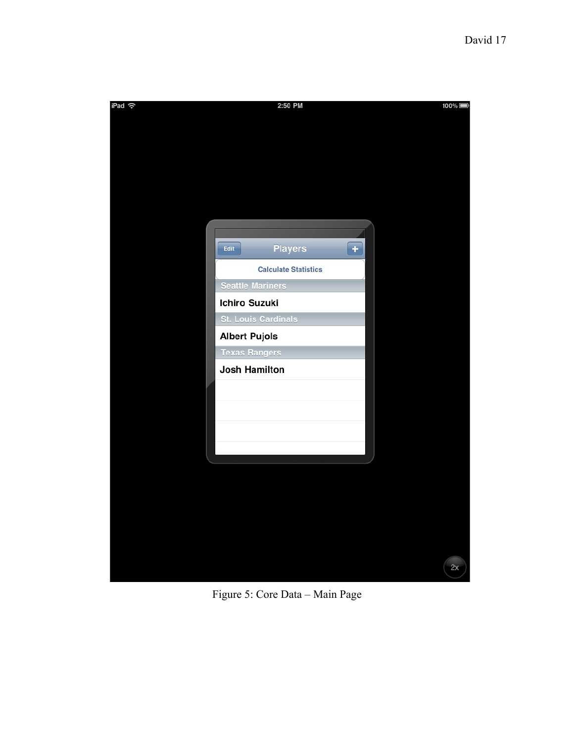

Figure 5: Core Data – Main Page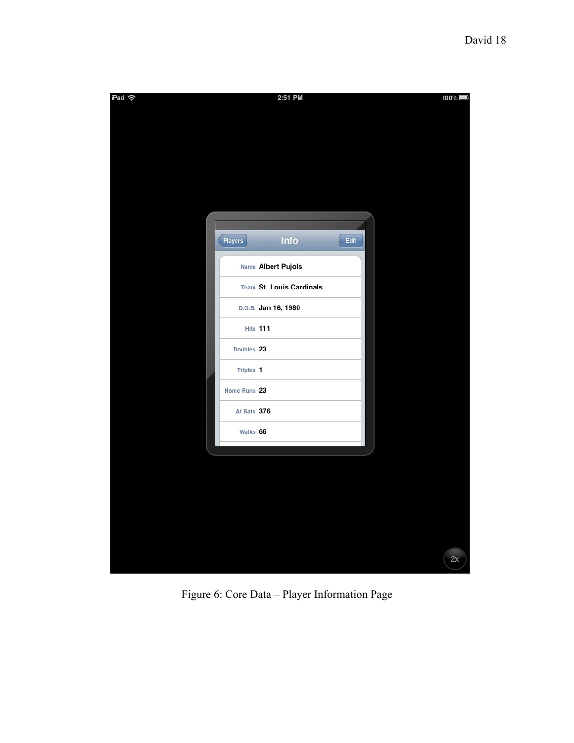

Figure 6: Core Data – Player Information Page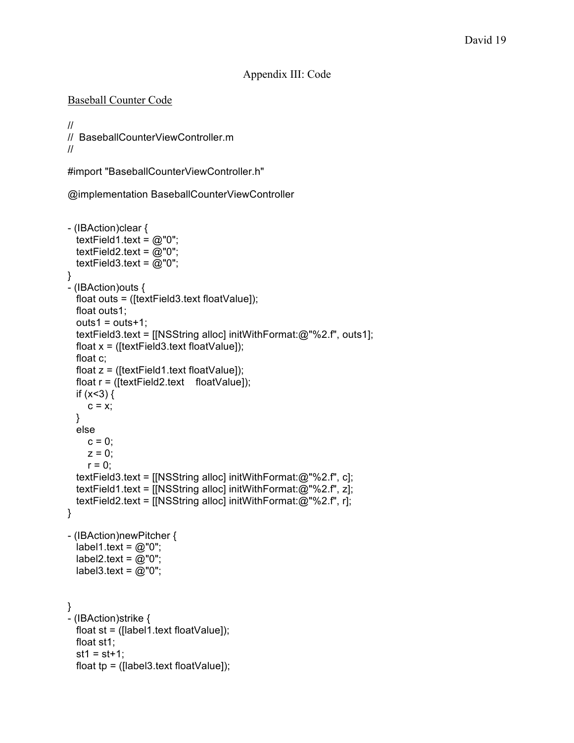# Appendix III: Code

## Baseball Counter Code

```
//
// BaseballCounterViewController.m
//
```
#import "BaseballCounterViewController.h"

@implementation BaseballCounterViewController

```
- (IBAction)clear {
  textField1.text = @"0";
  textField2.text = @"0";
  textField3.text = @"0";
}
- (IBAction)outs {
  float outs = ([textField3.text floatValue]);
  float outs1;
  outs1 = outs + 1;textField3.text = [[NSString alloc] initWithFormat:@"%2.f", outs1];
  float x = ([textField3.text floatValue]);
  float c;
  float z = ([textField1.text floatValue]);
  float r = ([textField2.text floatValue]);
  if (x<3) {
    c = x;}
 else
    c = 0;z = 0;
    r = 0;
  textField3.text = [[NSString alloc] initWithFormat:@"%2.f", c];
  textField1.text = [[NSString alloc] initWithFormat:@"%2.f", z];
  textField2.text = [[NSString alloc] initWithFormat:@"%2.f", r];
}
- (IBAction)newPitcher {
  label1.text = @"0";
  label2.text = @"0";
  label3.text = @"0";
}
- (IBAction)strike {
 float st = ([label1.text floatValue]);
 float st1;
  st1 = st + 1;
  float tp = ([label3.text{float}];
```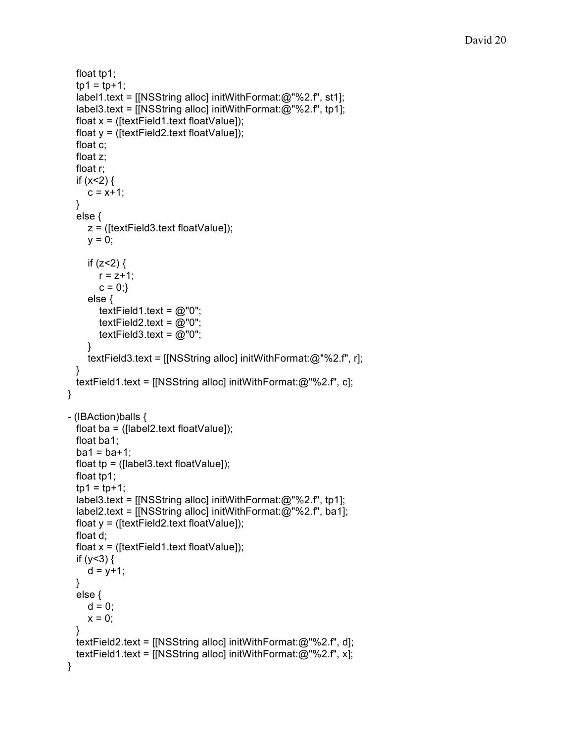```
float tp1;
  tp1 = tp + 1;label1.text = [[NSString alloc] initWithFormat:@"%2.f", st1];
  label3.text = [[NSString alloc] initWithFormat:@"%2.f", tp1];
  float x = ([textField1.textfloatValue]);
  float y = ([textField2.text floatValue]);
  float c;
  float z;
  float r;
  if (x<2) {
    c = x + 1;
  }
  else {
    z = ([textField3.text floatValue]);
    y = 0;
    if (z<2) {
       r = z + 1;
       c = 0;
     else {
       textField1.text = @"0";
       textField2.text = @"0";
       textField3.text = @"0";
    }
    textField3.text = [[NSString alloc] initWithFormat:@"%2.f", r];
  }
 textField1.text = [[NSString alloc] initWithFormat:@"%2.f", c];
}
- (IBAction)balls {
  float ba = ([label2.text floatValue]);
  float ba1;
  ba1 = ba + 1;
  float tp = ([label3.text floatValue]);
  float tp1;
  tp1 = tp + 1;
  label3.text = [[NSString alloc] initWithFormat:@"%2.f", tp1];
  label2.text = [[NSString alloc] initWithFormat:@"%2.f", ba1];
  float y = ([textField2.text floatValue]);
  float d;
  float x = ([textField1.text floatValue]);
  if (y<3) {
    d = y + 1;
  }
  else {
    d = 0;
    x = 0;
  }
  textField2.text = [[NSString alloc] initWithFormat:@"%2.f", d];
  textField1.text = [[NSString alloc] initWithFormat:@"%2.f", x];
}
```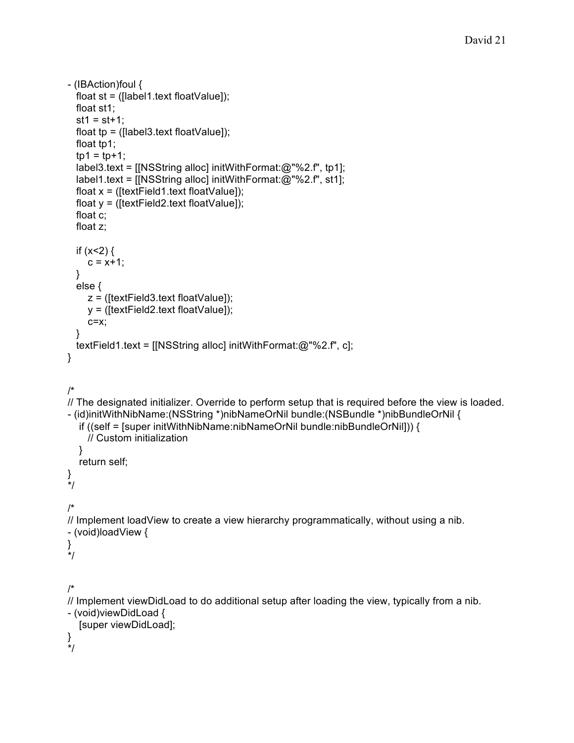```
- (IBAction)foul {
  float st = ([label1.text floatValue]);
  float st1;
  st1 = st + 1;
  float tp = ([label3.text floatValue]);
  float tp1;
  tp1 = tp + 1;
  label3.text = [[NSString alloc] initWithFormat:@"%2.f", tp1];
  label1.text = [[NSString alloc] initWithFormat:@"%2.f", st1];
  float x = ([textField1.text floatValue]);
  float y = ([textField2.textfloatValue]);
  float c;
  float z;
  if (x<2) {
    c = x + 1;
  }
  else {
    z = ([textField3.text floatValue]);
    y = ([textField2.text floatValue]);
    c=x;
  }
 textField1.text = [[NSString alloc] initWithFormat:@"%2.f", c];
}
/*
// The designated initializer. Override to perform setup that is required before the view is loaded.
- (id)initWithNibName:(NSString *)nibNameOrNil bundle:(NSBundle *)nibBundleOrNil {
  if ((self = [super initWithNibName:nibNameOrNil bundle:nibBundleOrNil])) {
    // Custom initialization
  }
  return self;
}
*/
/*
// Implement loadView to create a view hierarchy programmatically, without using a nib.
- (void)loadView {
}
*/
/*
// Implement viewDidLoad to do additional setup after loading the view, typically from a nib.
- (void)viewDidLoad {
  [super viewDidLoad];
}
*/
```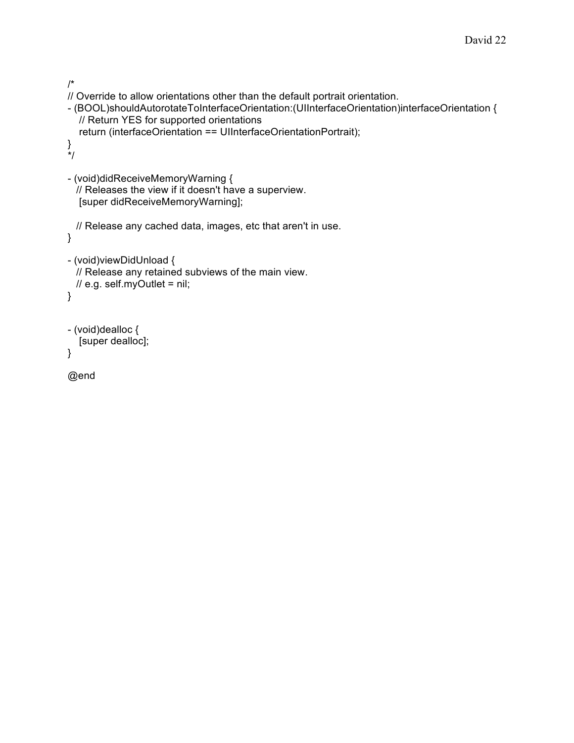```
/*
// Override to allow orientations other than the default portrait orientation.
- (BOOL)shouldAutorotateToInterfaceOrientation:(UIInterfaceOrientation)interfaceOrientation {
  // Return YES for supported orientations
  return (interfaceOrientation == UIInterfaceOrientationPortrait);
}
*/
- (void)didReceiveMemoryWarning {
 // Releases the view if it doesn't have a superview.
  [super didReceiveMemoryWarning];
 // Release any cached data, images, etc that aren't in use.
}
- (void)viewDidUnload {
 // Release any retained subviews of the main view.
 // e.g. self.myOutlet = nil;
}
- (void)dealloc {
  [super dealloc];
}
@end
```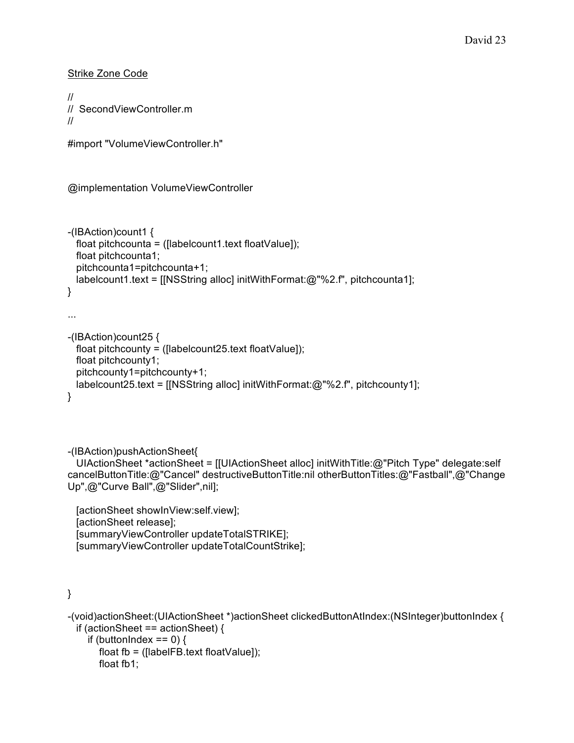Strike Zone Code

```
//
// SecondViewController.m
//
```

```
#import "VolumeViewController.h"
```

```
@implementation VolumeViewController
```

```
-(IBAction)count1 {
 float pitchcounta = ([labelcount1.text floatValue);
 float pitchcounta1;
  pitchcounta1=pitchcounta+1;
 labelcount1.text = [[NSString alloc] initWithFormat:@"%2.f", pitchcounta1];
}
...
```

```
-(IBAction)count25 {
  float pitchcounty = ([labelcount25.text floatValue]);
  float pitchcounty1;
  pitchcounty1=pitchcounty+1;
  labelcount25.text = [[NSString alloc] initWithFormat:@"%2.f", pitchcounty1];
}
```
-(IBAction)pushActionSheet{

UIActionSheet \*actionSheet = [[UIActionSheet alloc] initWithTitle:@"Pitch Type" delegate:self cancelButtonTitle:@"Cancel" destructiveButtonTitle:nil otherButtonTitles:@"Fastball",@"Change Up",@"Curve Ball",@"Slider",nil];

```
[actionSheet showInView:self.view];
[actionSheet release];
[summaryViewController updateTotalSTRIKE];
[summaryViewController updateTotalCountStrike];
```

```
}
```

```
-(void)actionSheet:(UIActionSheet *)actionSheet clickedButtonAtIndex:(NSInteger)buttonIndex {
  if (actionSheet == actionSheet) {
    if (buttonIndex == 0) {
       float fb = ([labelFB.text floatValue]);
```

```
float fb1;
```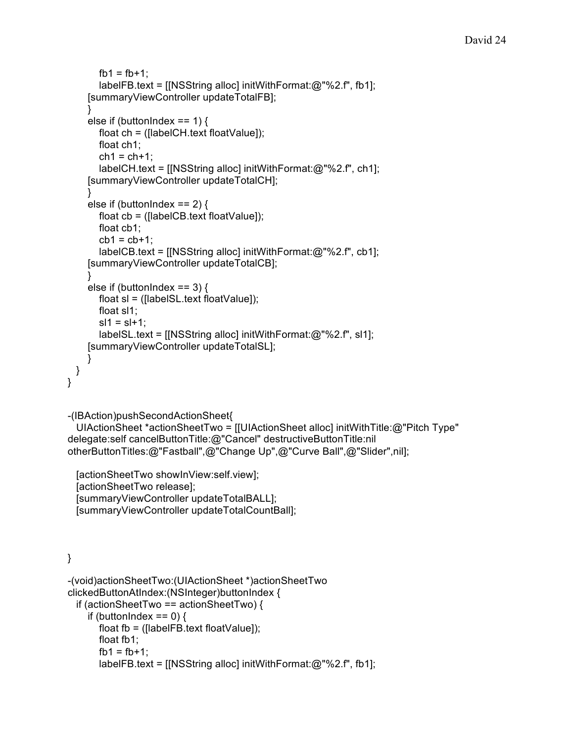```
fb1 = fb + 1;
       labelFB.text = [[NSString alloc] initWithFormat:@"%2.f", fb1];
    [summaryViewController updateTotalFB];
    }
    else if (buttonIndex == 1) {
      float ch = ([labelCH.text floatValue]);
      float ch1;
       ch1 = ch + 1:
       labelCH.text = [[NSString alloc] initWithFormat:@"%2.f", ch1];
    [summaryViewController updateTotalCH];
    }
    else if (buttonIndex == 2) {
      float cb = ([labelCB.text floatValue]);
       float cb1;
       cb1 = cb + 1:
       labelCB.text = [[NSString alloc] initWithFormat:@"%2.f", cb1];
    [summaryViewController updateTotalCB];
    }
    else if (buttonIndex == 3) {
       float sl = ([labelSL.text floatValue]);
       float sl1;
       sl1 = sl + 1;
      labelSL.text = [[NSString alloc] initWithFormat:@"%2.f", sl1];
    [summaryViewController updateTotalSL];
    }
 }
}
-(IBAction)pushSecondActionSheet{
  UIActionSheet *actionSheetTwo = [[UIActionSheet alloc] initWithTitle:@"Pitch Type"
delegate:self cancelButtonTitle:@"Cancel" destructiveButtonTitle:nil
otherButtonTitles:@"Fastball",@"Change Up",@"Curve Ball",@"Slider",nil];
  [actionSheetTwo showInView:self.view];
  [actionSheetTwo release];
  [summaryViewController updateTotalBALL];
  [summaryViewController updateTotalCountBall];
}
-(void)actionSheetTwo:(UIActionSheet *)actionSheetTwo
clickedButtonAtIndex:(NSInteger)buttonIndex {
  if (actionSheetTwo == actionSheetTwo) {
    if (buttonIndex == 0) {
       float fb = ([labelFB.textfloatValue]);
```
labelFB.text = [[NSString alloc] initWithFormat:@"%2.f", fb1];

float fb1;  $fb1 = fb + 1$ :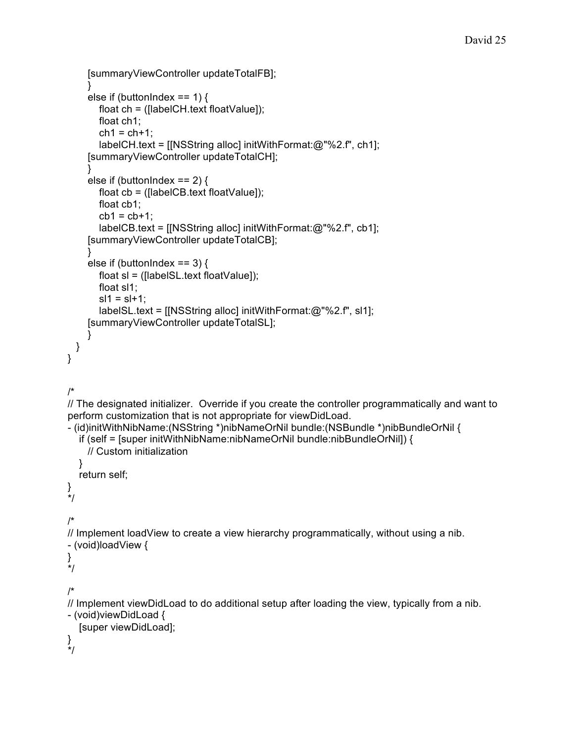```
[summaryViewController updateTotalFB];
    }
    else if (buttonIndex == 1) {
       float ch = ([labelCH.textfloatValue]);
       float ch1;
       ch1 = ch + 1;
       labelCH.text = [[NSString alloc] initWithFormat:@"%2.f", ch1];
    [summaryViewController updateTotalCH];
    }
    else if (buttonIndex == 2) {
       float cb = ([labelCB.text floatValue]);
       float cb1;
       cb1 = cb + 1;
       labelCB.text = [[NSString alloc] initWithFormat:@"%2.f", cb1];
    [summaryViewController updateTotalCB];
    }
    else if (buttonIndex == 3) {
       float sl = ([labelS-LtextfloatValue]);
       float sl1;
       sl1 = sl + 1;
       labelSL.text = [[NSString alloc] initWithFormat:@"%2.f", sl1];
    [summaryViewController updateTotalSL];
    }
 }
}
/*
// The designated initializer. Override if you create the controller programmatically and want to
perform customization that is not appropriate for viewDidLoad.
- (id)initWithNibName:(NSString *)nibNameOrNil bundle:(NSBundle *)nibBundleOrNil {
  if (self = [super initWithNibName:nibNameOrNil bundle:nibBundleOrNil]) {
    // Custom initialization
  }
  return self;
}
*/
/*
// Implement loadView to create a view hierarchy programmatically, without using a nib.
- (void)loadView {
}
*/
/*
// Implement viewDidLoad to do additional setup after loading the view, typically from a nib.
- (void)viewDidLoad {
  [super viewDidLoad];
}
*/
```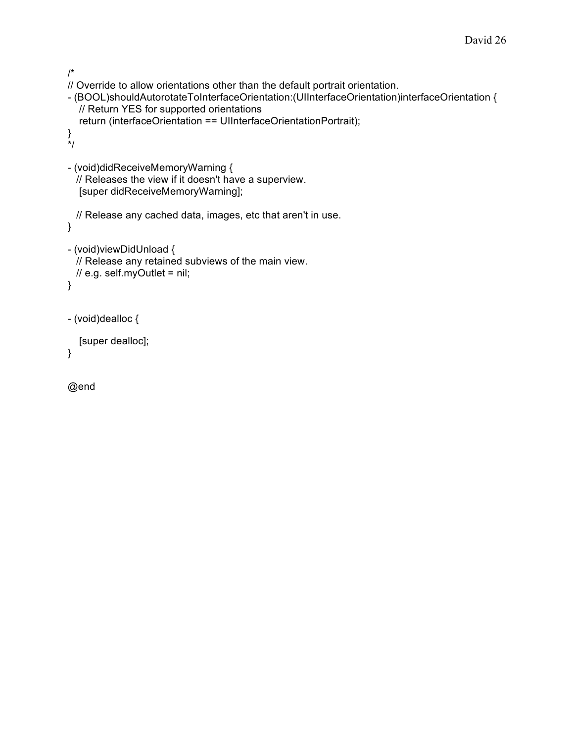```
/*
// Override to allow orientations other than the default portrait orientation.
- (BOOL)shouldAutorotateToInterfaceOrientation:(UIInterfaceOrientation)interfaceOrientation {
  // Return YES for supported orientations
  return (interfaceOrientation == UIInterfaceOrientationPortrait);
}
*/
- (void)didReceiveMemoryWarning {
 // Releases the view if it doesn't have a superview.
  [super didReceiveMemoryWarning];
 // Release any cached data, images, etc that aren't in use.
}
- (void)viewDidUnload {
 // Release any retained subviews of the main view.
 // e.g. self.myOutlet = nil;
}
- (void)dealloc {
  [super dealloc];
}
```

```
@end
```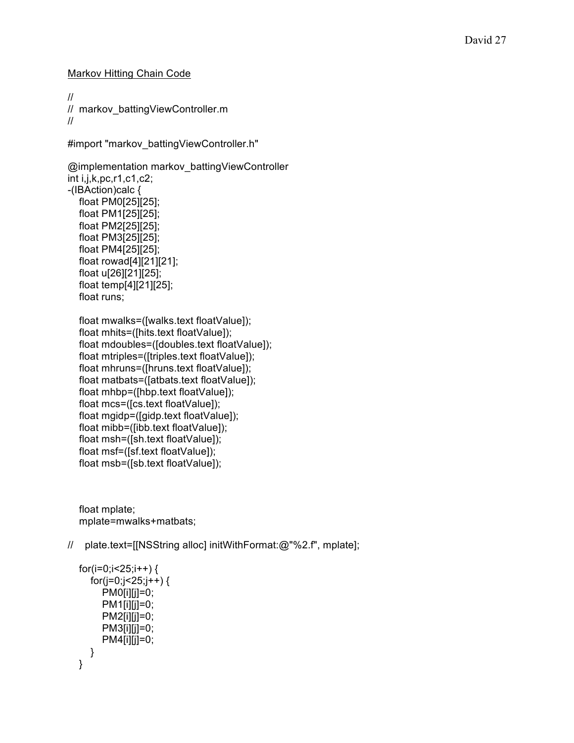Markov Hitting Chain Code

// // markov battingViewController.m //

#import "markov\_battingViewController.h"

```
@implementation markov_battingViewController
int i,j,k,pc,r1,c1,c2;
-(IBAction)calc {
  float PM0[25][25];
  float PM1[25][25];
  float PM2[25][25];
  float PM3[25][25];
  float PM4[25][25];
  float rowad[4][21][21];
  float u[26][21][25];
  float temp[4][21][25];
  float runs;
```

```
float mwalks=([walks.text floatValue]);
float mhits=([hits.text floatValue]);
float mdoubles=([doubles.text floatValue]);
float mtriples=([triples.text floatValue]);
float mhruns=([hruns.text floatValue]);
float matbats=([atbats.text floatValue]);
float mhbp=([hbp.text floatValue]);
float mcs=([cs.text floatValue]);
float mgidp=([gidp.text floatValue]);
float mibb=([ibb.text floatValue]);
float msh=([sh.text floatValue]);
float msf=([sf.text floatValue]);
float msb=([sb.text floatValue]);
```
float mplate; mplate=mwalks+matbats;

// plate.text=[[NSString alloc] initWithFormat:@"%2.f", mplate];

```
for(i=0;i<25;i++) {
  for(j=0;j<25;j++) {
     PM0[i][i]=0;PM1[i][j]=0;PM2[i][j]=0;
     PM3[i][i]=0;PM4[i][i]=0;}
}
```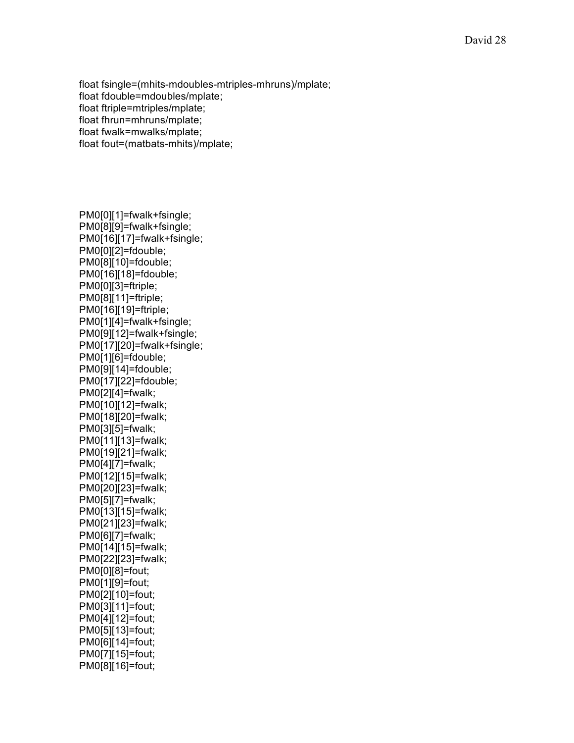float fsingle=(mhits-mdoubles-mtriples-mhruns)/mplate; float fdouble=mdoubles/mplate; float ftriple=mtriples/mplate; float fhrun=mhruns/mplate; float fwalk=mwalks/mplate; float fout=(matbats-mhits)/mplate;

PM0[0][1]=fwalk+fsingle; PM0[8][9]=fwalk+fsingle; PM0[16][17]=fwalk+fsingle; PM0[0][2]=fdouble; PM0[8][10]=fdouble; PM0[16][18]=fdouble; PM0[0][3]=ftriple; PM0[8][11]=ftriple; PM0[16][19]=ftriple; PM0[1][4]=fwalk+fsingle; PM0[9][12]=fwalk+fsingle; PM0[17][20]=fwalk+fsingle; PM0[1][6]=fdouble; PM0[9][14]=fdouble; PM0[17][22]=fdouble; PM0[2][4]=fwalk; PM0[10][12]=fwalk; PM0[18][20]=fwalk; PM0[3][5]=fwalk; PM0[11][13]=fwalk; PM0[19][21]=fwalk; PM0[4][7]=fwalk; PM0[12][15]=fwalk; PM0[20][23]=fwalk; PM0[5][7]=fwalk; PM0[13][15]=fwalk; PM0[21][23]=fwalk; PM0[6][7]=fwalk; PM0[14][15]=fwalk; PM0[22][23]=fwalk; PM0[0][8]=fout; PM0[1][9]=fout; PM0[2][10]=fout; PM0[3][11]=fout; PM0[4][12]=fout; PM0[5][13]=fout; PM0[6][14]=fout; PM0[7][15]=fout; PM0[8][16]=fout;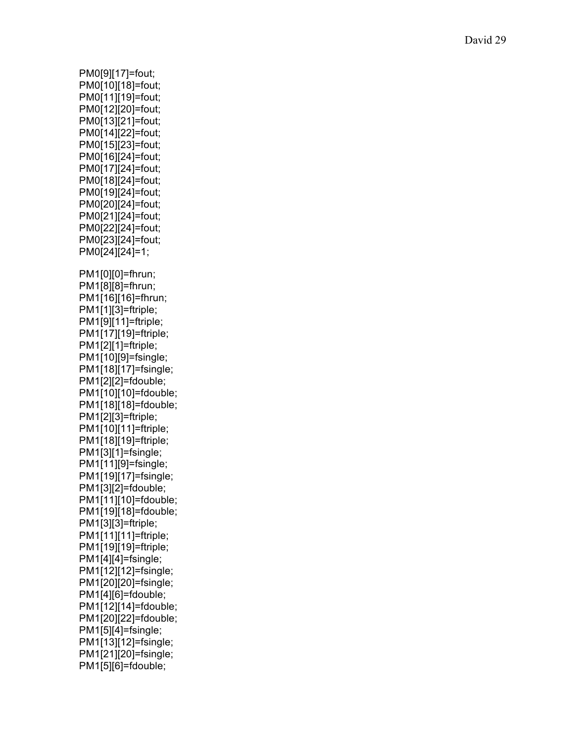PM0[9][17]=fout; PM0[10][18]=fout; PM0[11][19]=fout; PM0[12][20]=fout; PM0[13][21]=fout; PM0[14][22]=fout; PM0[15][23]=fout; PM0[16][24]=fout; PM0[17][24]=fout; PM0[18][24]=fout; PM0[19][24]=fout; PM0[20][24]=fout; PM0[21][24]=fout; PM0[22][24]=fout; PM0[23][24]=fout; PM0[24][24]=1; PM1[0][0]=fhrun; PM1[8][8]=fhrun; PM1[16][16]=fhrun; PM1[1][3]=ftriple; PM1[9][11]=ftriple; PM1[17][19]=ftriple; PM1[2][1]=ftriple; PM1[10][9]=fsingle; PM1[18][17]=fsingle; PM1[2][2]=fdouble; PM1[10][10]=fdouble; PM1[18][18]=fdouble; PM1[2][3]=ftriple; PM1[10][11]=ftriple; PM1[18][19]=ftriple; PM1[3][1]=fsingle; PM1[11][9]=fsingle; PM1[19][17]=fsingle; PM1[3][2]=fdouble; PM1[11][10]=fdouble; PM1[19][18]=fdouble; PM1[3][3]=ftriple; PM1[11][11]=ftriple; PM1[19][19]=ftriple; PM1[4][4]=fsingle; PM1[12][12]=fsingle; PM1[20][20]=fsingle; PM1[4][6]=fdouble; PM1[12][14]=fdouble; PM1[20][22]=fdouble; PM1[5][4]=fsingle; PM1[13][12]=fsingle; PM1[21][20]=fsingle; PM1[5][6]=fdouble;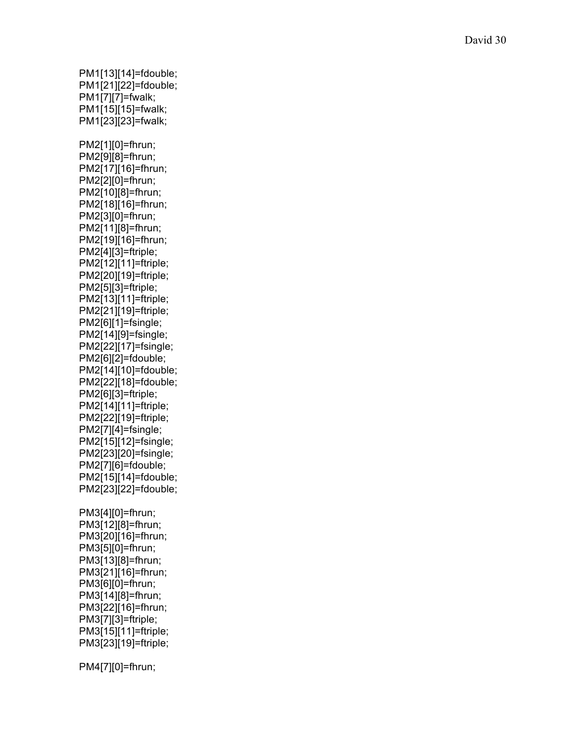PM1[13][14]=fdouble; PM1[21][22]=fdouble; PM1[7][7]=fwalk; PM1[15][15]=fwalk; PM1[23][23]=fwalk; PM2[1][0]=fhrun; PM2[9][8]=fhrun; PM2[17][16]=fhrun; PM2[2][0]=fhrun; PM2[10][8]=fhrun; PM2[18][16]=fhrun; PM2[3][0]=fhrun; PM2[11][8]=fhrun; PM2[19][16]=fhrun; PM2[4][3]=ftriple; PM2[12][11]=ftriple; PM2[20][19]=ftriple; PM2[5][3]=ftriple; PM2[13][11]=ftriple; PM2[21][19]=ftriple; PM2[6][1]=fsingle; PM2[14][9]=fsingle; PM2[22][17]=fsingle; PM2[6][2]=fdouble; PM2[14][10]=fdouble; PM2[22][18]=fdouble; PM2[6][3]=ftriple; PM2[14][11]=ftriple; PM2[22][19]=ftriple; PM2[7][4]=fsingle; PM2[15][12]=fsingle; PM2[23][20]=fsingle; PM2[7][6]=fdouble; PM2[15][14]=fdouble; PM2[23][22]=fdouble; PM3[4][0]=fhrun; PM3[12][8]=fhrun; PM3[20][16]=fhrun; PM3[5][0]=fhrun; PM3[13][8]=fhrun; PM3[21][16]=fhrun; PM3[6][0]=fhrun; PM3[14][8]=fhrun; PM3[22][16]=fhrun; PM3[7][3]=ftriple; PM3[15][11]=ftriple; PM3[23][19]=ftriple; PM4[7][0]=fhrun;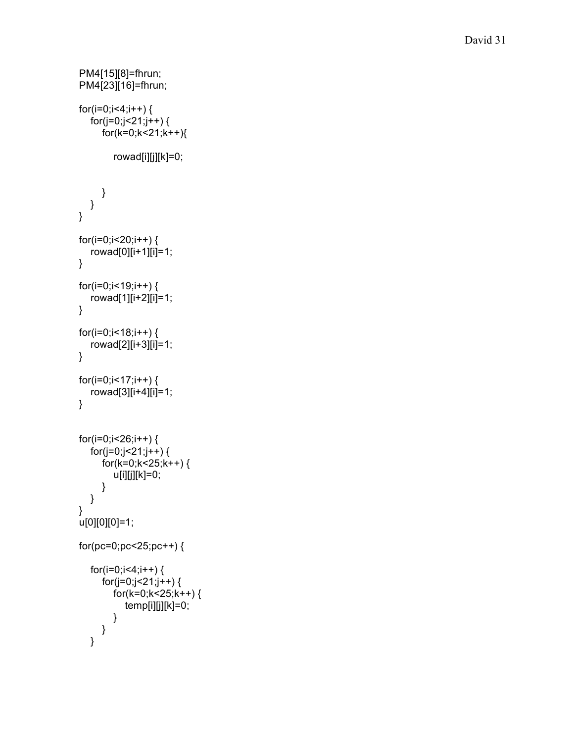```
PM4[15][8]=fhrun;
PM4[23][16]=fhrun;
for(i=0;i<4;i++) {
   f
o
r
(j
=
0
;
j
<
2
1
;
j
+
+
)
{
      for(k=0;k<21;k++){
         rowad[i][j][k]=0;
     }
  }
\}}f
 or(i=0;i<20;i++) {
   rowad[0][i+1][i]=1;
\mathcal{E}}f
 or(i=0;i<19;i++) {
   rowad[1][i+2][i]=1;
\}}f
 or(i=0;i<18;i++) {
   rowad[2][i+3][i]=1;
\}}f
 or(i=0;i<17;i++) {
   rowad[3][i+4][i]=1;
\}}<br>f
 or(i=0;i<26;i++) {
   for(j=0;j<21;j++) {
      for(k=0;k<25;k++) {
         u[i][j][k]=0;
      }
   }
}<br>u[0][0][0]=1;
for(pc=0;pc<25;pc++) {
   for(i=0;i<4;i++) {
      for(j=0;j<21;j++) {
         for(k=0;k<25;k++) {
            temp[i][j][k]=0;
         }
     }
   }
```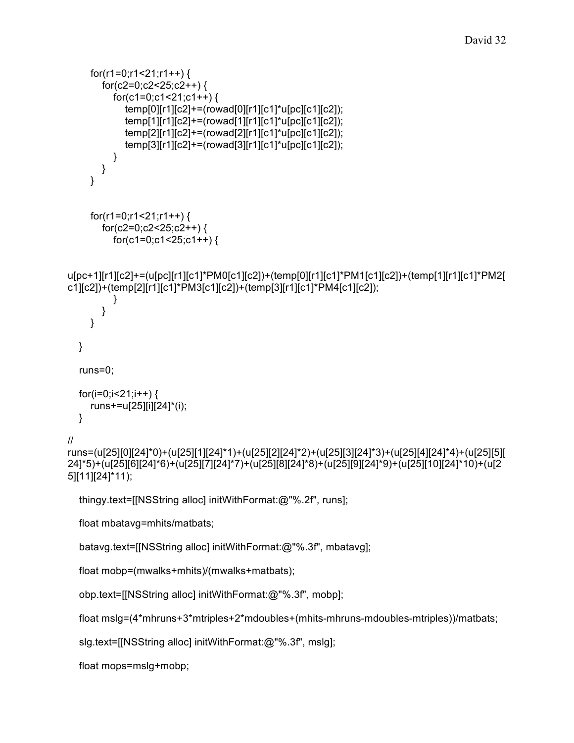```
for(c2=0;c2<25;c2++) {
          for(c1=0;c1<21;c1++) {
            temp[0][r1][c2]+=(rowad[0][r1][c1]*u[pc][c1][c2]);
            temp[1][r1][c2]+=(rowad[1][r1][c1]*u[pc][c1][c2]);
            temp[2][r1][c2]+=(rowad[2][r1][c1]*u[pc][c1][c2]);
            temp[3][r1][c2]+=(rowad[3][r1][c1]*u[pc][c1][c2]);
         }
       }
    }
    for(r1=0;r1<21;r1++) {
       for(c2=0;c2<25;c2++) {
          for(c1=0;c1<25;c1++) {
u[pc+1][r1][c2]+=(u[pc][r1][c1]*PM0[c1][c2])+(temp[0][r1][c1]*PM1[c1][c2])+(temp[1][r1][c1]*PM2[
c1][c2])+(temp[2][r1][c1]*PM3[c1][c2])+(temp[3][r1][c1]*PM4[c1][c2]);
          }
       }
    }
  }
  runs=0;
  for(i=0;i<21;i++) {
    runs+=u[25][i][24]*(i);
  }
//
runs=(u[25][0][24]*0)+(u[25][1][24]*1)+(u[25][2][24]*2)+(u[25][3][24]*3)+(u[25][4][24]*4)+(u[25][5][
24]*5)+(u[25][6][24]*6)+(u[25][7][24]*7)+(u[25][8][24]*8)+(u[25][9][24]*9)+(u[25][10][24]*10)+(u[2
5][11][24]*11);
  thingy.text=[[NSString alloc] initWithFormat:@"%.2f", runs];
  float mbatavg=mhits/matbats;
  batavg.text=[[NSString alloc] initWithFormat:@"%.3f", mbatavg];
  float mobp=(mwalks+mhits)/(mwalks+matbats);
  obp.text=[[NSString alloc] initWithFormat:@"%.3f", mobp];
  float mslg=(4*mhruns+3*mtriples+2*mdoubles+(mhits-mhruns-mdoubles-mtriples))/matbats;
  slg.text=[[NSString alloc] initWithFormat:@"%.3f", mslg];
```
for(r1=0;r1<21;r1++) {

float mops=mslg+mobp;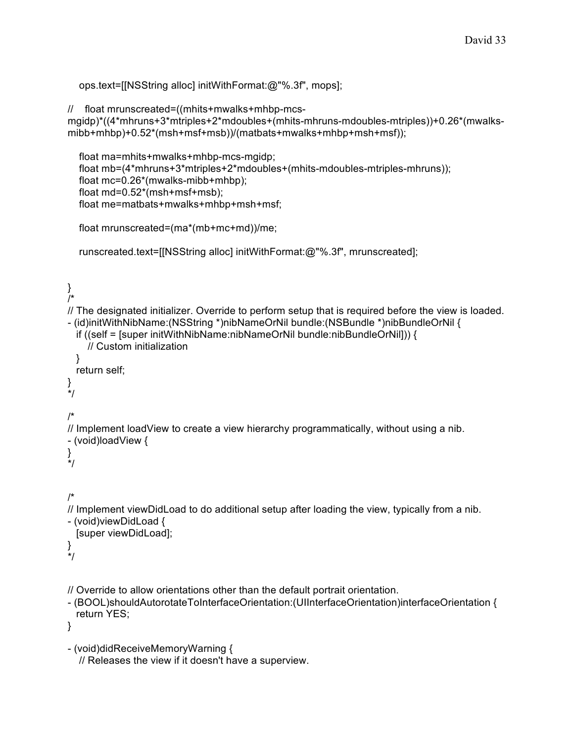```
ops.text=[[NSString alloc] initWithFormat:@"%.3f", mops];
```

```
// float mrunscreated=((mhits+mwalks+mhbp-mcs-
```

```
mgidp)*((4*mhruns+3*mtriples+2*mdoubles+(mhits-mhruns-mdoubles-mtriples))+0.26*(mwalks-
mibb+mhbp)+0.52*(msh+msf+msb))/(matbats+mwalks+mhbp+msh+msf));
```

```
float ma=mhits+mwalks+mhbp-mcs-mgidp;
float mb=(4*mhruns+3*mtriples+2*mdoubles+(mhits-mdoubles-mtriples-mhruns));
float mc=0.26*(mwalks-mibb+mhbp);
float md=0.52*(msh+msf+msb);
float me=matbats+mwalks+mhbp+msh+msf;
```

```
float mrunscreated=(ma*(mb+mc+md))/me;
```

```
runscreated.text=[[NSString alloc] initWithFormat:@"%.3f", mrunscreated];
```

```
}
/*
// The designated initializer. Override to perform setup that is required before the view is loaded.
- (id)initWithNibName:(NSString *)nibNameOrNil bundle:(NSBundle *)nibBundleOrNil {
  if ((self = [super initWithNibName:nibNameOrNil bundle:nibBundleOrNil])) {
    // Custom initialization
 }
 return self;
}
*/
/*
// Implement loadView to create a view hierarchy programmatically, without using a nib.
- (void)loadView {
}
*/
/*
// Implement viewDidLoad to do additional setup after loading the view, typically from a nib.
- (void)viewDidLoad {
  [super viewDidLoad];
}
*/
// Override to allow orientations other than the default portrait orientation.
- (BOOL)shouldAutorotateToInterfaceOrientation:(UIInterfaceOrientation)interfaceOrientation {
  return YES;
}
- (void)didReceiveMemoryWarning {
```

```
// Releases the view if it doesn't have a superview.
```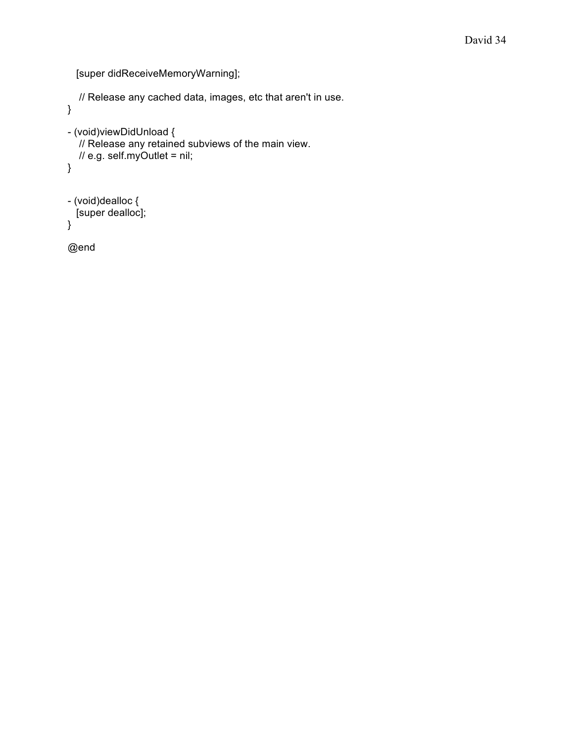[super didReceiveMemoryWarning];

```
// Release any cached data, images, etc that aren't in use.
}
- (void)viewDidUnload {
  // Release any retained subviews of the main view.
  \frac{1}{2} e.g. self.myOutlet = nil;
}
- (void)dealloc {
 [super dealloc];
}
```
@end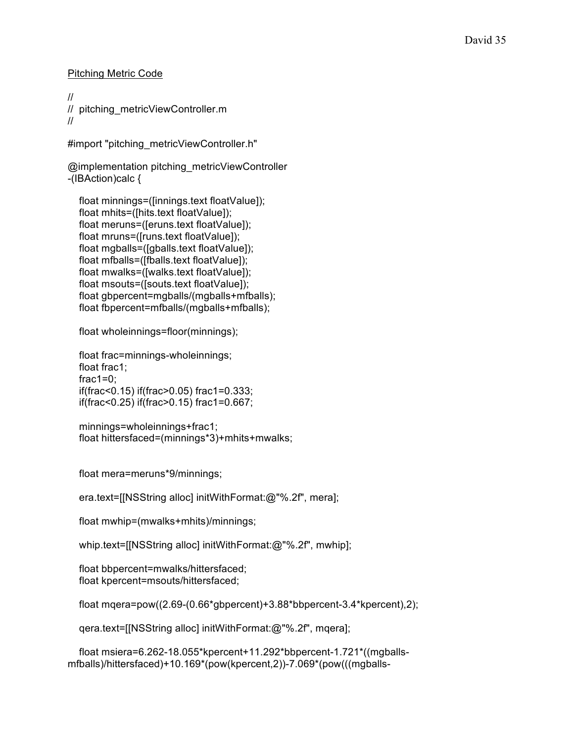Pitching Metric Code

// // pitching\_metricViewController.m //

#import "pitching\_metricViewController.h"

@implementation pitching\_metricViewController -(IBAction)calc {

float minnings=([innings.text floatValue]); float mhits=([hits.text floatValue]); float meruns=([eruns.text floatValue]); float mruns=([runs.text floatValue]); float mgballs=([gballs.text floatValue]); float mfballs=([fballs.text floatValue]); float mwalks=([walks.text floatValue]); float msouts=([souts.text floatValue]); float gbpercent=mgballs/(mgballs+mfballs); float fbpercent=mfballs/(mgballs+mfballs);

float wholeinnings=floor(minnings);

float frac=minnings-wholeinnings; float frac1; frac $1=0$ ; if(frac<0.15) if(frac>0.05) frac1=0.333; if(frac<0.25) if(frac>0.15) frac1=0.667;

minnings=wholeinnings+frac1; float hittersfaced=(minnings\*3)+mhits+mwalks;

float mera=meruns\*9/minnings;

era.text=[[NSString alloc] initWithFormat:@"%.2f", mera];

float mwhip=(mwalks+mhits)/minnings;

whip.text=[[NSString alloc] initWithFormat:@"%.2f", mwhip];

float bbpercent=mwalks/hittersfaced; float kpercent=msouts/hittersfaced;

float mqera=pow((2.69-(0.66\*gbpercent)+3.88\*bbpercent-3.4\*kpercent),2);

qera.text=[[NSString alloc] initWithFormat:@"%.2f", mqera];

float msiera=6.262-18.055\*kpercent+11.292\*bbpercent-1.721\*((mgballsmfballs)/hittersfaced)+10.169\*(pow(kpercent,2))-7.069\*(pow(((mgballs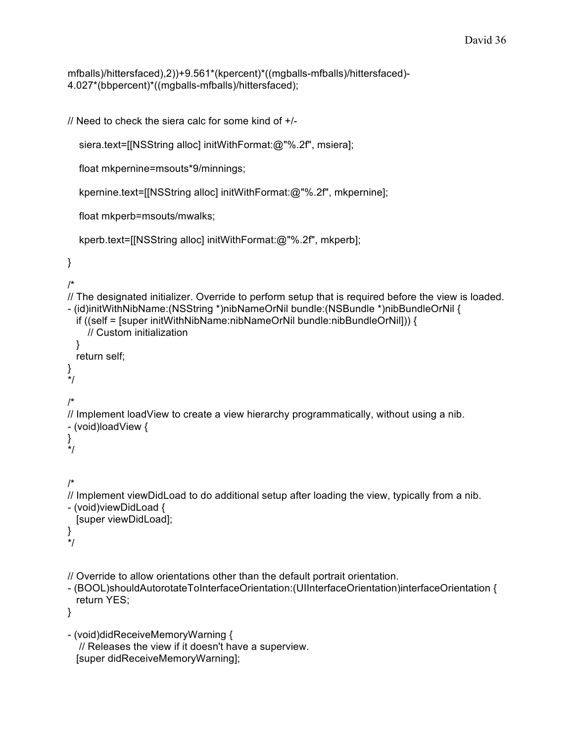mfballs)/hittersfaced),2))+9.561\*(kpercent)\*((mgballs-mfballs)/hittersfaced)- 4.027\*(bbpercent)\*((mgballs-mfballs)/hittersfaced);

// Need to check the siera calc for some kind of +/-

siera.text=[[NSString alloc] initWithFormat:@"%.2f", msiera];

float mkpernine=msouts\*9/minnings;

kpernine.text=[[NSString alloc] initWithFormat:@"%.2f", mkpernine];

float mkperb=msouts/mwalks;

```
kperb.text=[[NSString alloc] initWithFormat:@"%.2f", mkperb];
```

```
}
```

```
/*
```

```
// The designated initializer. Override to perform setup that is required before the view is loaded.
- (id)initWithNibName:(NSString *)nibNameOrNil bundle:(NSBundle *)nibBundleOrNil {
 if ((self = [super initWithNibName:nibNameOrNil bundle:nibBundleOrNil])) {
    // Custom initialization
 }
 return self;
}
*/
/*
// Implement loadView to create a view hierarchy programmatically, without using a nib.
- (void)loadView {
}
*/
/*
// Implement viewDidLoad to do additional setup after loading the view, typically from a nib.
- (void)viewDidLoad {
 [super viewDidLoad];
}
*/
// Override to allow orientations other than the default portrait orientation.
- (BOOL)shouldAutorotateToInterfaceOrientation:(UIInterfaceOrientation)interfaceOrientation {
 return YES;
```
}

```
- (void)didReceiveMemoryWarning {
  // Releases the view if it doesn't have a superview.
 [super didReceiveMemoryWarning];
```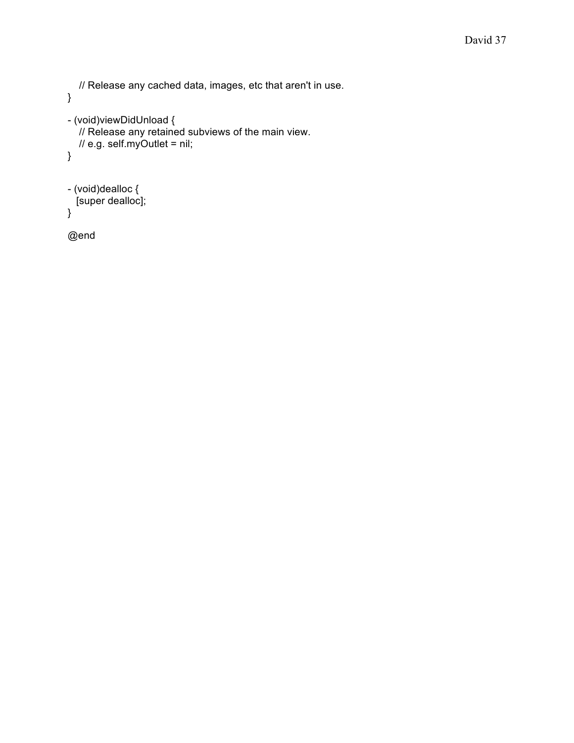```
// Release any cached data, images, etc that aren't in use.
}
- (void)viewDidUnload {
  // Release any retained subviews of the main view.
  \frac{1}{2} e.g. self.myOutlet = nil;
}
- (void)dealloc {
 [super dealloc];
}
```
@end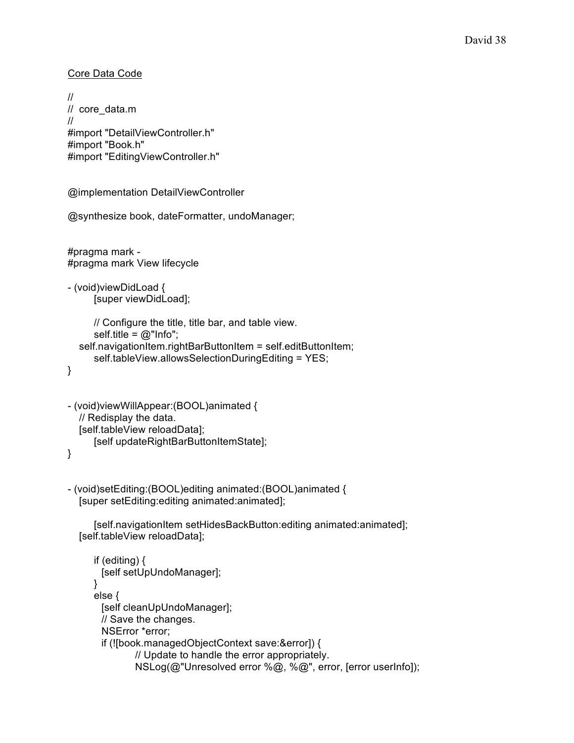```
Core Data Code
```

```
//
// core_data.m
//
#import "DetailViewController.h"
#import "Book.h"
#import "EditingViewController.h"
@implementation DetailViewController
@synthesize book, dateFormatter, undoManager;
#pragma mark -
#pragma mark View lifecycle
- (void)viewDidLoad {
     [super viewDidLoad];
     // Configure the title, title bar, and table view.
     self.title = @"lnfo";
  self.navigationItem.rightBarButtonItem = self.editButtonItem;
     self.tableView.allowsSelectionDuringEditing = YES;
}
- (void)viewWillAppear:(BOOL)animated {
  // Redisplay the data.
  [self.tableView reloadData];
     [self updateRightBarButtonItemState];
}
- (void)setEditing:(BOOL)editing animated:(BOOL)animated {
  [super setEditing:editing animated:animated];
     [self.navigationItem setHidesBackButton:editing animated:animated];
  [self.tableView reloadData];
     if (editing) {
       [self setUpUndoManager];
     }
     else {
       [self cleanUpUndoManager];
       // Save the changes.
       NSError *error;
       if (![book.managedObjectContext save:&error]) {
              // Update to handle the error appropriately.
              NSLog(@"Unresolved error %@, %@", error, [error userInfo]);
```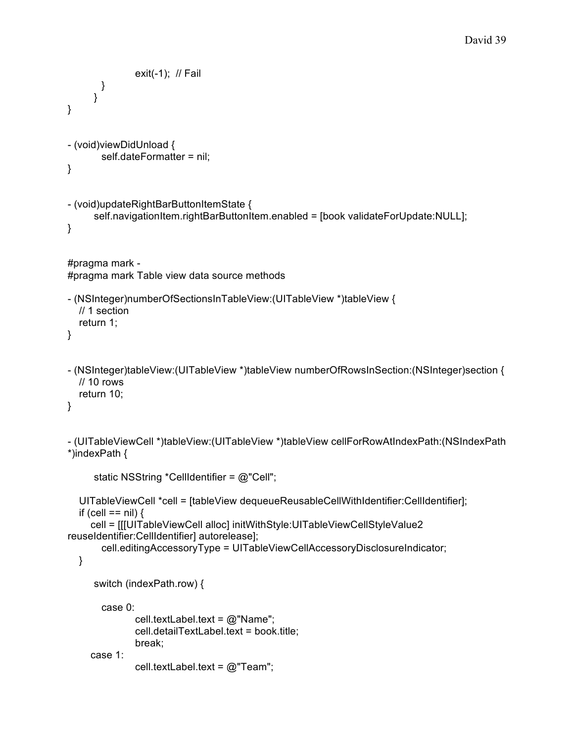```
exit(-1); \# Fail
       }
     }
}
- (void)viewDidUnload {
       self.dateFormatter = nil;
}
- (void)updateRightBarButtonItemState {
     self.navigationItem.rightBarButtonItem.enabled = [book validateForUpdate:NULL];
}
#pragma mark -
#pragma mark Table view data source methods
- (NSInteger)numberOfSectionsInTableView:(UITableView *)tableView {
  // 1 section
  return 1;
}
- (NSInteger)tableView:(UITableView *)tableView numberOfRowsInSection:(NSInteger)section {
  // 10 rows
  return 10;
}
- (UITableViewCell *)tableView:(UITableView *)tableView cellForRowAtIndexPath:(NSIndexPath
*)indexPath {
     static NSString *CellIdentifier = @"Cell";
  UITableViewCell *cell = [tableView dequeueReusableCellWithIdentifier:CellIdentifier];
  if (cell == nil) {
     cell = [[[UITableViewCell alloc] initWithStyle:UITableViewCellStyleValue2
reuseIdentifier:CellIdentifier] autorelease];
       cell.editingAccessoryType = UITableViewCellAccessoryDisclosureIndicator;
  }
     switch (indexPath.row) {
       case 0:
              cell.textLabel.text = @"Name";
              cell.detailTextLabel.text = book.title;
              break;
     case 1:
              cell.textLabel.text = @"Team";
```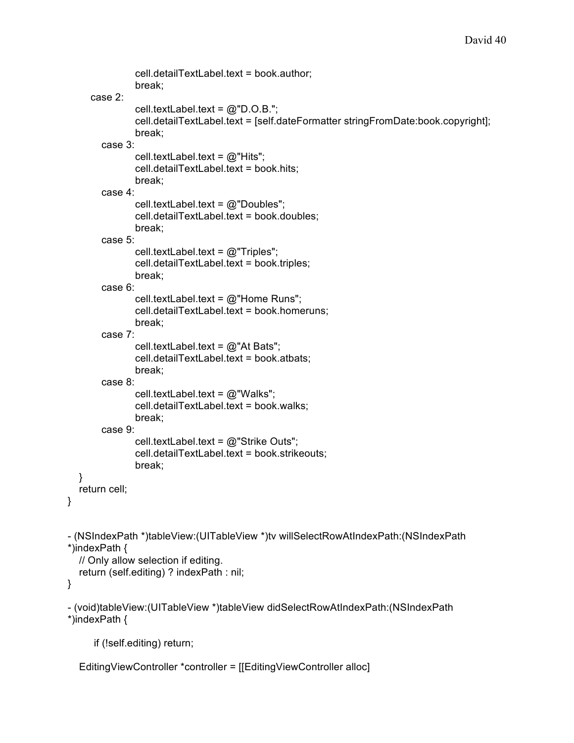```
cell.detailTextLabel.text = book.author;
               break;
     case 2:
               cell.textLabel.text = @"D.O.B.";
               cell.detailTextLabel.text = [self.dateFormatter stringFromDate:book.copyright];
               break;
       case 3:
               cell.textLabel.text = @"Hits";
               cell.detailTextLabel.text = book.hits;
               break;
       case 4:
               cell.textLabel.text = @"Doubles";
               cell.detailTextLabel.text = book.doubles;
               break;
       case 5:
               cell.textLabel.text = @"Triples";
               cell.detailTextLabel.text = book.triples;
               break;
       case 6:
               cell.textLabel.text = @"Home Runs";
               cell.detailTextLabel.text = book.homeruns;
               break;
       case 7:
               cell.textLabel.text = @"At Bats";
               cell.detailTextLabel.text = book.atbats;
               break;
       case 8:
               cell.textLabel.text = @"Walks";
               cell.detailTextLabel.text = book.walks;
               break;
       case 9:
               cell.textLabel.text = @"Strike Outs";
               cell.detailTextLabel.text = book.strikeouts;
               break;
  }
  return cell;
- (NSIndexPath *)tableView:(UITableView *)tv willSelectRowAtIndexPath:(NSIndexPath
*)indexPath {
  // Only allow selection if editing.
  return (self.editing) ? indexPath : nil;
- (void)tableView:(UITableView *)tableView didSelectRowAtIndexPath:(NSIndexPath
*)indexPath {
     if (!self.editing) return;
```
EditingViewController \*controller = [[EditingViewController alloc]

}

}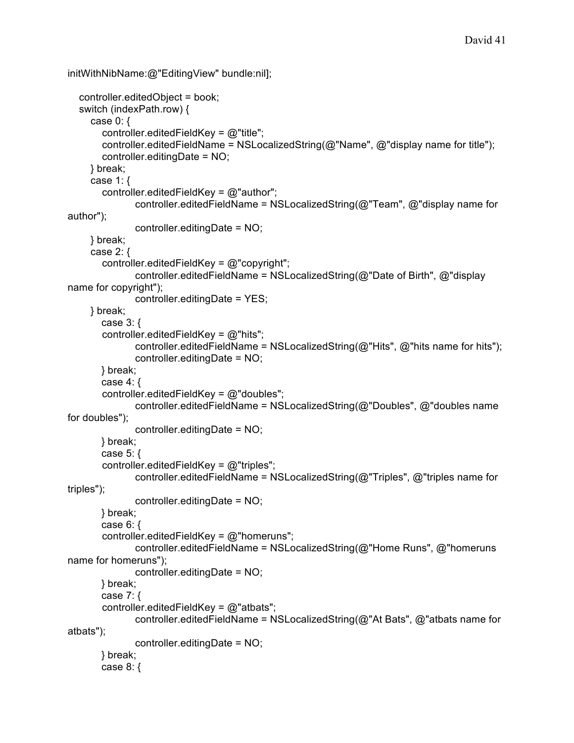```
initWithNibName:@"EditingView" bundle:nil];
  controller.editedObject = book;
  switch (indexPath.row) {
     case 0: \{controller.editedFieldKey = @"title";
       controller.editedFieldName = NSLocalizedString(@"Name", @"display name for title");
       controller.editingDate = NO;
     } break;
     case 1: {
       controller.editedFieldKey = @"author";
              controller.editedFieldName = NSLocalizedString(@"Team", @"display name for
author");
              controller.editingDate = NO;
    } break;
     case 2: {
       controller.editedFieldKey = @"copyright";
              controller.editedFieldName = NSLocalizedString(@"Date of Birth", @"display
name for copyright");
              controller.editingDate = YES;
     } break;
       case 3: {
       controller.editedFieldKey = @"hits";
              controller.editedFieldName = NSLocalizedString(@"Hits", @"hits name for hits");
              controller.editingDate = NO;
       } break;
       case 4: {
       controller.editedFieldKey = @"doubles";
              controller.editedFieldName = NSLocalizedString(@"Doubles", @"doubles name
for doubles");
              controller.editingDate = NO;
       } break;
       case 5: {
       controller.editedFieldKey = @"triples";
              controller.editedFieldName = NSLocalizedString(@"Triples", @"triples name for
triples");
              controller.editingDate = NO;
       } break;
       case 6: {
       controller.editedFieldKey = @"homeruns";
              controller.editedFieldName = NSLocalizedString(@"Home Runs", @"homeruns
name for homeruns");
              controller.editingDate = NO;
       } break;
       case 7: {
       controller.editedFieldKey = @"atbats";
              controller.editedFieldName = NSLocalizedString(@"At Bats", @"atbats name for
atbats");
              controller.editingDate = NO;
       } break;
       case 8: {
```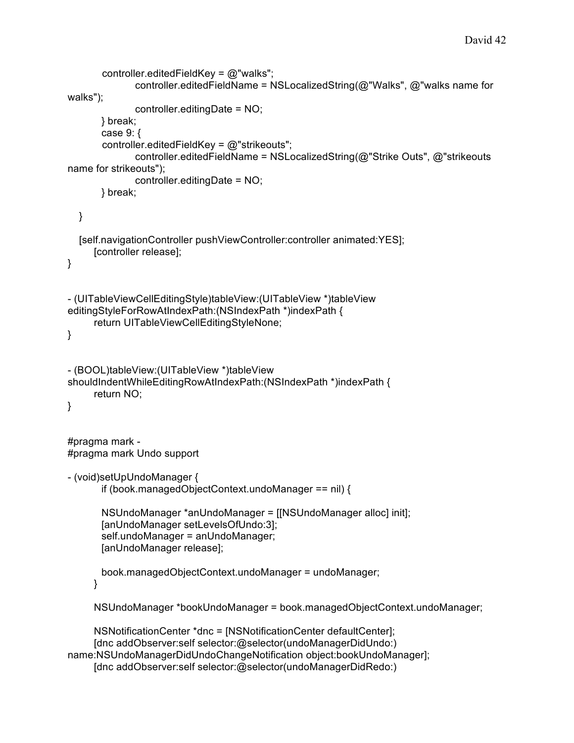```
controller.editedFieldKey = @"walks";
             controller.editedFieldName = NSLocalizedString(@"Walks", @"walks name for
walks");
             controller.editingDate = NO;
       } break;
       case 9: {
       controller.editedFieldKey = @"strikeouts";
             controller.editedFieldName = NSLocalizedString(@"Strike Outs", @"strikeouts
name for strikeouts");
             controller.editingDate = NO;
      } break;
  }
  [self.navigationController pushViewController:controller animated:YES];
     [controller release];
}
- (UITableViewCellEditingStyle)tableView:(UITableView *)tableView
editingStyleForRowAtIndexPath:(NSIndexPath *)indexPath {
     return UITableViewCellEditingStyleNone;
}
- (BOOL)tableView:(UITableView *)tableView
shouldIndentWhileEditingRowAtIndexPath:(NSIndexPath *)indexPath {
     return NO;
}
#pragma mark -
#pragma mark Undo support
- (void)setUpUndoManager {
       if (book.managedObjectContext.undoManager == nil) {
       NSUndoManager *anUndoManager = [[NSUndoManager alloc] init];
       [anUndoManager setLevelsOfUndo:3];
       self.undoManager = anUndoManager;
       [anUndoManager release];
       book.managedObjectContext.undoManager = undoManager;
     }
     NSUndoManager *bookUndoManager = book.managedObjectContext.undoManager;
     NSNotificationCenter *dnc = [NSNotificationCenter defaultCenter];
     [dnc addObserver:self selector:@selector(undoManagerDidUndo:)
name:NSUndoManagerDidUndoChangeNotification object:bookUndoManager];
     [dnc addObserver:self selector:@selector(undoManagerDidRedo:)
```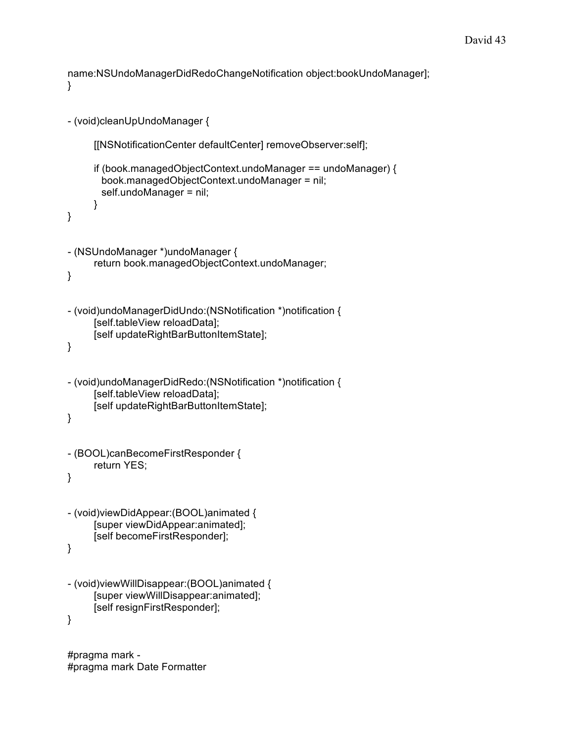name:NSUndoManagerDidRedoChangeNotification object:bookUndoManager]; }

```
- (void)cleanUpUndoManager {
     [[NSNotificationCenter defaultCenter] removeObserver:self];
     if (book.managedObjectContext.undoManager == undoManager) {
       book.managedObjectContext.undoManager = nil;
       self.undoManager = nil;
     }
}
- (NSUndoManager *)undoManager {
     return book.managedObjectContext.undoManager;
}
- (void)undoManagerDidUndo:(NSNotification *)notification {
     [self.tableView reloadData];
     [self updateRightBarButtonItemState];
}
- (void)undoManagerDidRedo:(NSNotification *)notification {
     [self.tableView reloadData];
     [self updateRightBarButtonItemState];
}
- (BOOL)canBecomeFirstResponder {
     return YES;
}
- (void)viewDidAppear:(BOOL)animated {
     [super viewDidAppear:animated];
     [self becomeFirstResponder];
}
- (void)viewWillDisappear:(BOOL)animated {
     [super viewWillDisappear:animated];
     [self resignFirstResponder];
}
```
#pragma mark - #pragma mark Date Formatter